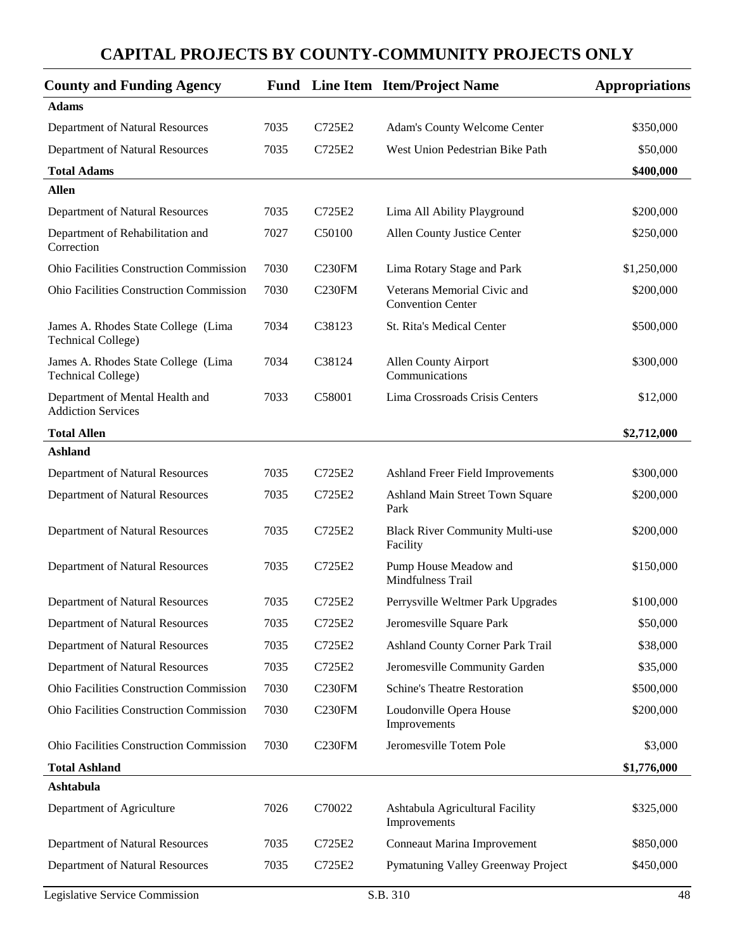| <b>County and Funding Agency</b>                                 |      |                    | <b>Fund</b> Line Item Item/Project Name                 | <b>Appropriations</b> |
|------------------------------------------------------------------|------|--------------------|---------------------------------------------------------|-----------------------|
| <b>Adams</b>                                                     |      |                    |                                                         |                       |
| Department of Natural Resources                                  | 7035 | C725E2             | Adam's County Welcome Center                            | \$350,000             |
| Department of Natural Resources                                  | 7035 | C725E2             | West Union Pedestrian Bike Path                         | \$50,000              |
| <b>Total Adams</b>                                               |      |                    |                                                         | \$400,000             |
| <b>Allen</b>                                                     |      |                    |                                                         |                       |
| Department of Natural Resources                                  | 7035 | C725E2             | Lima All Ability Playground                             | \$200,000             |
| Department of Rehabilitation and<br>Correction                   | 7027 | C50100             | Allen County Justice Center                             | \$250,000             |
| Ohio Facilities Construction Commission                          | 7030 | C <sub>230FM</sub> | Lima Rotary Stage and Park                              | \$1,250,000           |
| Ohio Facilities Construction Commission                          | 7030 | C <sub>230FM</sub> | Veterans Memorial Civic and<br><b>Convention Center</b> | \$200,000             |
| James A. Rhodes State College (Lima<br><b>Technical College)</b> | 7034 | C38123             | St. Rita's Medical Center                               | \$500,000             |
| James A. Rhodes State College (Lima<br><b>Technical College)</b> | 7034 | C38124             | <b>Allen County Airport</b><br>Communications           | \$300,000             |
| Department of Mental Health and<br><b>Addiction Services</b>     | 7033 | C58001             | Lima Crossroads Crisis Centers                          | \$12,000              |
| <b>Total Allen</b>                                               |      |                    |                                                         | \$2,712,000           |
| <b>Ashland</b>                                                   |      |                    |                                                         |                       |
| Department of Natural Resources                                  | 7035 | C725E2             | Ashland Freer Field Improvements                        | \$300,000             |
| Department of Natural Resources                                  | 7035 | C725E2             | Ashland Main Street Town Square<br>Park                 | \$200,000             |
| Department of Natural Resources                                  | 7035 | C725E2             | <b>Black River Community Multi-use</b><br>Facility      | \$200,000             |
| Department of Natural Resources                                  | 7035 | C725E2             | Pump House Meadow and<br>Mindfulness Trail              | \$150,000             |
| Department of Natural Resources                                  | 7035 | C725E2             | Perrysville Weltmer Park Upgrades                       | \$100,000             |
| Department of Natural Resources                                  | 7035 | C725E2             | Jeromesville Square Park                                | \$50,000              |
| Department of Natural Resources                                  | 7035 | C725E2             | Ashland County Corner Park Trail                        | \$38,000              |
| Department of Natural Resources                                  | 7035 | C725E2             | Jeromesville Community Garden                           | \$35,000              |
| <b>Ohio Facilities Construction Commission</b>                   | 7030 | C <sub>230FM</sub> | <b>Schine's Theatre Restoration</b>                     | \$500,000             |
| Ohio Facilities Construction Commission                          | 7030 | C <sub>230FM</sub> | Loudonville Opera House<br>Improvements                 | \$200,000             |
| Ohio Facilities Construction Commission                          | 7030 | C <sub>230FM</sub> | Jeromesville Totem Pole                                 | \$3,000               |
| <b>Total Ashland</b>                                             |      |                    |                                                         | \$1,776,000           |
| Ashtabula                                                        |      |                    |                                                         |                       |
| Department of Agriculture                                        | 7026 | C70022             | Ashtabula Agricultural Facility<br>Improvements         | \$325,000             |
| Department of Natural Resources                                  | 7035 | C725E2             | Conneaut Marina Improvement                             | \$850,000             |
| Department of Natural Resources                                  | 7035 | C725E2             | Pymatuning Valley Greenway Project                      | \$450,000             |
| Legislative Service Commission                                   |      |                    | S.B. 310                                                | 48                    |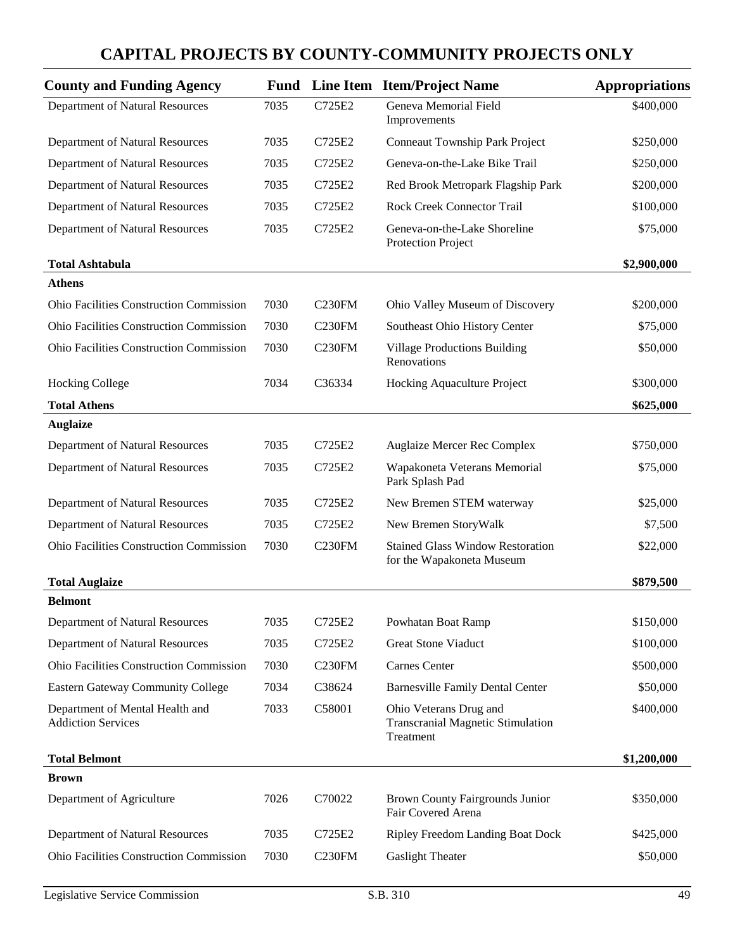| <b>County and Funding Agency</b>                             | Fund |                     | Line Item Item/Project Name                                                     | <b>Appropriations</b> |
|--------------------------------------------------------------|------|---------------------|---------------------------------------------------------------------------------|-----------------------|
| Department of Natural Resources                              | 7035 | C725E2              | Geneva Memorial Field<br>Improvements                                           | \$400,000             |
| Department of Natural Resources                              | 7035 | C725E2              | <b>Conneaut Township Park Project</b>                                           | \$250,000             |
| Department of Natural Resources                              | 7035 | C725E2              | Geneva-on-the-Lake Bike Trail                                                   | \$250,000             |
| Department of Natural Resources                              | 7035 | C725E2              | Red Brook Metropark Flagship Park                                               | \$200,000             |
| Department of Natural Resources                              | 7035 | C725E2              | <b>Rock Creek Connector Trail</b>                                               | \$100,000             |
| Department of Natural Resources                              | 7035 | C725E2              | Geneva-on-the-Lake Shoreline<br>Protection Project                              | \$75,000              |
| <b>Total Ashtabula</b>                                       |      |                     |                                                                                 | \$2,900,000           |
| <b>Athens</b>                                                |      |                     |                                                                                 |                       |
| <b>Ohio Facilities Construction Commission</b>               | 7030 | C <sub>230FM</sub>  | Ohio Valley Museum of Discovery                                                 | \$200,000             |
| <b>Ohio Facilities Construction Commission</b>               | 7030 | C <sub>230</sub> FM | Southeast Ohio History Center                                                   | \$75,000              |
| <b>Ohio Facilities Construction Commission</b>               | 7030 | C <sub>230FM</sub>  | <b>Village Productions Building</b><br>Renovations                              | \$50,000              |
| <b>Hocking College</b>                                       | 7034 | C36334              | Hocking Aquaculture Project                                                     | \$300,000             |
| <b>Total Athens</b>                                          |      |                     |                                                                                 | \$625,000             |
| <b>Auglaize</b>                                              |      |                     |                                                                                 |                       |
| Department of Natural Resources                              | 7035 | C725E2              | Auglaize Mercer Rec Complex                                                     | \$750,000             |
| Department of Natural Resources                              | 7035 | C725E2              | Wapakoneta Veterans Memorial<br>Park Splash Pad                                 | \$75,000              |
| Department of Natural Resources                              | 7035 | C725E2              | New Bremen STEM waterway                                                        | \$25,000              |
| Department of Natural Resources                              | 7035 | C725E2              | New Bremen StoryWalk                                                            | \$7,500               |
| <b>Ohio Facilities Construction Commission</b>               | 7030 | C <sub>230FM</sub>  | <b>Stained Glass Window Restoration</b><br>for the Wapakoneta Museum            | \$22,000              |
| <b>Total Auglaize</b>                                        |      |                     |                                                                                 | \$879,500             |
| <b>Belmont</b>                                               |      |                     |                                                                                 |                       |
| Department of Natural Resources                              | 7035 | C725E2              | Powhatan Boat Ramp                                                              | \$150,000             |
| Department of Natural Resources                              | 7035 | C725E2              | <b>Great Stone Viaduct</b>                                                      | \$100,000             |
| Ohio Facilities Construction Commission                      | 7030 | C <sub>230FM</sub>  | Carnes Center                                                                   | \$500,000             |
| Eastern Gateway Community College                            | 7034 | C38624              | <b>Barnesville Family Dental Center</b>                                         | \$50,000              |
| Department of Mental Health and<br><b>Addiction Services</b> | 7033 | C58001              | Ohio Veterans Drug and<br><b>Transcranial Magnetic Stimulation</b><br>Treatment | \$400,000             |
| <b>Total Belmont</b>                                         |      |                     |                                                                                 | \$1,200,000           |
| <b>Brown</b>                                                 |      |                     |                                                                                 |                       |
| Department of Agriculture                                    | 7026 | C70022              | <b>Brown County Fairgrounds Junior</b><br>Fair Covered Arena                    | \$350,000             |
| Department of Natural Resources                              | 7035 | C725E2              | <b>Ripley Freedom Landing Boat Dock</b>                                         | \$425,000             |
| <b>Ohio Facilities Construction Commission</b>               | 7030 | C <sub>230FM</sub>  | <b>Gaslight Theater</b>                                                         | \$50,000              |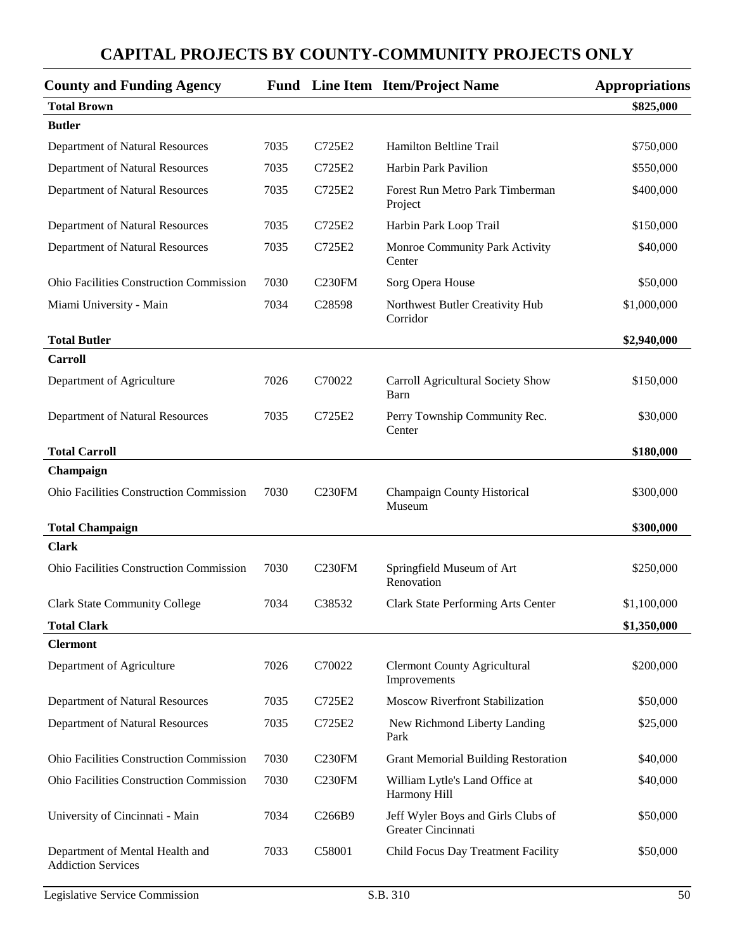| <b>County and Funding Agency</b>                             |      |                     | <b>Fund</b> Line Item Item/Project Name                  | <b>Appropriations</b> |
|--------------------------------------------------------------|------|---------------------|----------------------------------------------------------|-----------------------|
| <b>Total Brown</b>                                           |      |                     |                                                          | \$825,000             |
| <b>Butler</b>                                                |      |                     |                                                          |                       |
| Department of Natural Resources                              | 7035 | C725E2              | Hamilton Beltline Trail                                  | \$750,000             |
| Department of Natural Resources                              | 7035 | C725E2              | <b>Harbin Park Pavilion</b>                              | \$550,000             |
| Department of Natural Resources                              | 7035 | C725E2              | Forest Run Metro Park Timberman<br>Project               | \$400,000             |
| Department of Natural Resources                              | 7035 | C725E2              | Harbin Park Loop Trail                                   | \$150,000             |
| Department of Natural Resources                              | 7035 | C725E2              | Monroe Community Park Activity<br>Center                 | \$40,000              |
| <b>Ohio Facilities Construction Commission</b>               | 7030 | C <sub>230</sub> FM | Sorg Opera House                                         | \$50,000              |
| Miami University - Main                                      | 7034 | C28598              | Northwest Butler Creativity Hub<br>Corridor              | \$1,000,000           |
| <b>Total Butler</b>                                          |      |                     |                                                          | \$2,940,000           |
| <b>Carroll</b>                                               |      |                     |                                                          |                       |
| Department of Agriculture                                    | 7026 | C70022              | Carroll Agricultural Society Show<br>Barn                | \$150,000             |
| Department of Natural Resources                              | 7035 | C725E2              | Perry Township Community Rec.<br>Center                  | \$30,000              |
| <b>Total Carroll</b>                                         |      |                     |                                                          | \$180,000             |
| Champaign                                                    |      |                     |                                                          |                       |
| <b>Ohio Facilities Construction Commission</b>               | 7030 | C230FM              | Champaign County Historical<br>Museum                    | \$300,000             |
| <b>Total Champaign</b>                                       |      |                     |                                                          | \$300,000             |
| <b>Clark</b>                                                 |      |                     |                                                          |                       |
| <b>Ohio Facilities Construction Commission</b>               | 7030 | C230FM              | Springfield Museum of Art<br>Renovation                  | \$250,000             |
| <b>Clark State Community College</b>                         | 7034 | C38532              | <b>Clark State Performing Arts Center</b>                | \$1,100,000           |
| <b>Total Clark</b>                                           |      |                     |                                                          | \$1,350,000           |
| <b>Clermont</b>                                              |      |                     |                                                          |                       |
| Department of Agriculture                                    | 7026 | C70022              | <b>Clermont County Agricultural</b><br>Improvements      | \$200,000             |
| Department of Natural Resources                              | 7035 | C725E2              | <b>Moscow Riverfront Stabilization</b>                   | \$50,000              |
| Department of Natural Resources                              | 7035 | C725E2              | New Richmond Liberty Landing<br>Park                     | \$25,000              |
| Ohio Facilities Construction Commission                      | 7030 | <b>C230FM</b>       | <b>Grant Memorial Building Restoration</b>               | \$40,000              |
| Ohio Facilities Construction Commission                      | 7030 | <b>C230FM</b>       | William Lytle's Land Office at<br>Harmony Hill           | \$40,000              |
| University of Cincinnati - Main                              | 7034 | C266B9              | Jeff Wyler Boys and Girls Clubs of<br>Greater Cincinnati | \$50,000              |
| Department of Mental Health and<br><b>Addiction Services</b> | 7033 | C58001              | Child Focus Day Treatment Facility                       | \$50,000              |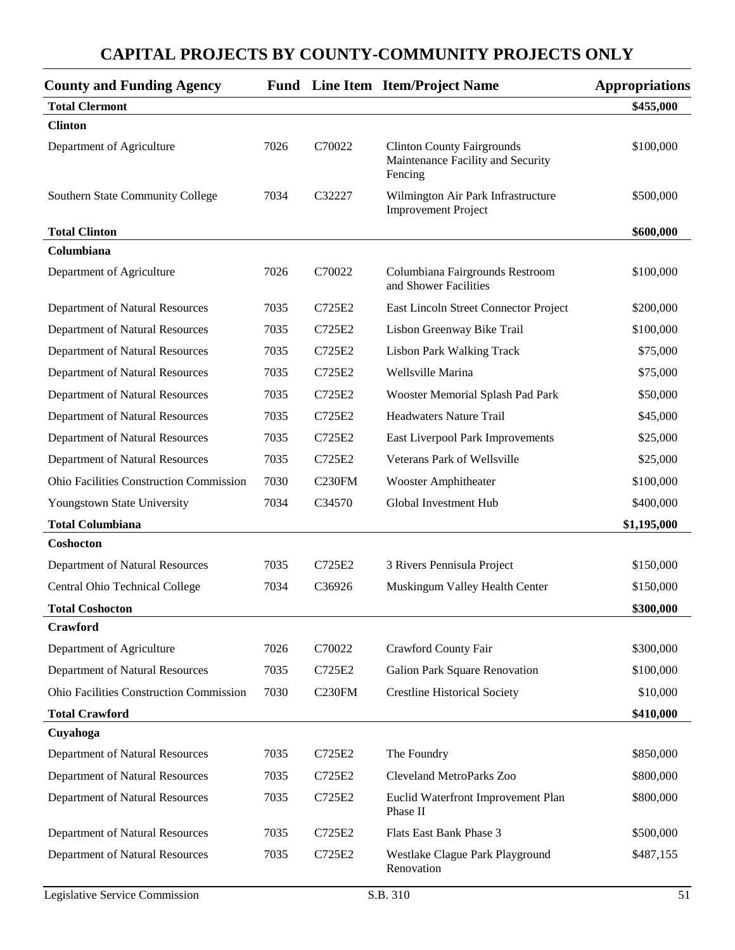| <b>County and Funding Agency</b>               |      |                    | <b>Fund</b> Line Item Item/Project Name                                           | <b>Appropriations</b> |
|------------------------------------------------|------|--------------------|-----------------------------------------------------------------------------------|-----------------------|
| <b>Total Clermont</b>                          |      |                    |                                                                                   | \$455,000             |
| <b>Clinton</b>                                 |      |                    |                                                                                   |                       |
| Department of Agriculture                      | 7026 | C70022             | <b>Clinton County Fairgrounds</b><br>Maintenance Facility and Security<br>Fencing | \$100,000             |
| Southern State Community College               | 7034 | C32227             | Wilmington Air Park Infrastructure<br><b>Improvement Project</b>                  | \$500,000             |
| <b>Total Clinton</b>                           |      |                    |                                                                                   | \$600,000             |
| Columbiana                                     |      |                    |                                                                                   |                       |
| Department of Agriculture                      | 7026 | C70022             | Columbiana Fairgrounds Restroom<br>and Shower Facilities                          | \$100,000             |
| Department of Natural Resources                | 7035 | C725E2             | East Lincoln Street Connector Project                                             | \$200,000             |
| Department of Natural Resources                | 7035 | C725E2             | Lisbon Greenway Bike Trail                                                        | \$100,000             |
| Department of Natural Resources                | 7035 | C725E2             | <b>Lisbon Park Walking Track</b>                                                  | \$75,000              |
| Department of Natural Resources                | 7035 | C725E2             | Wellsville Marina                                                                 | \$75,000              |
| Department of Natural Resources                | 7035 | C725E2             | Wooster Memorial Splash Pad Park                                                  | \$50,000              |
| Department of Natural Resources                | 7035 | C725E2             | <b>Headwaters Nature Trail</b>                                                    | \$45,000              |
| Department of Natural Resources                | 7035 | C725E2             | East Liverpool Park Improvements                                                  | \$25,000              |
| Department of Natural Resources                | 7035 | C725E2             | Veterans Park of Wellsville                                                       | \$25,000              |
| <b>Ohio Facilities Construction Commission</b> | 7030 | C <sub>230FM</sub> | <b>Wooster Amphitheater</b>                                                       | \$100,000             |
| Youngstown State University                    | 7034 | C34570             | Global Investment Hub                                                             | \$400,000             |
| <b>Total Columbiana</b>                        |      |                    |                                                                                   | \$1,195,000           |
| Coshocton                                      |      |                    |                                                                                   |                       |
| Department of Natural Resources                | 7035 | C725E2             | 3 Rivers Pennisula Project                                                        | \$150,000             |
| Central Ohio Technical College                 | 7034 | C36926             | Muskingum Valley Health Center                                                    | \$150,000             |
| <b>Total Coshocton</b>                         |      |                    |                                                                                   | \$300,000             |
| Crawford                                       |      |                    |                                                                                   |                       |
| Department of Agriculture                      | 7026 | C70022             | Crawford County Fair                                                              | \$300,000             |
| Department of Natural Resources                | 7035 | C725E2             | Galion Park Square Renovation                                                     | \$100,000             |
| Ohio Facilities Construction Commission        | 7030 | C <sub>230FM</sub> | <b>Crestline Historical Society</b>                                               | \$10,000              |
| <b>Total Crawford</b>                          |      |                    |                                                                                   | \$410,000             |
| Cuyahoga                                       |      |                    |                                                                                   |                       |
| Department of Natural Resources                | 7035 | C725E2             | The Foundry                                                                       | \$850,000             |
| Department of Natural Resources                | 7035 | C725E2             | Cleveland MetroParks Zoo                                                          | \$800,000             |
| Department of Natural Resources                | 7035 | C725E2             | Euclid Waterfront Improvement Plan<br>Phase II                                    | \$800,000             |
| Department of Natural Resources                | 7035 | C725E2             | Flats East Bank Phase 3                                                           | \$500,000             |
| Department of Natural Resources                | 7035 | C725E2             | Westlake Clague Park Playground<br>Renovation                                     | \$487,155             |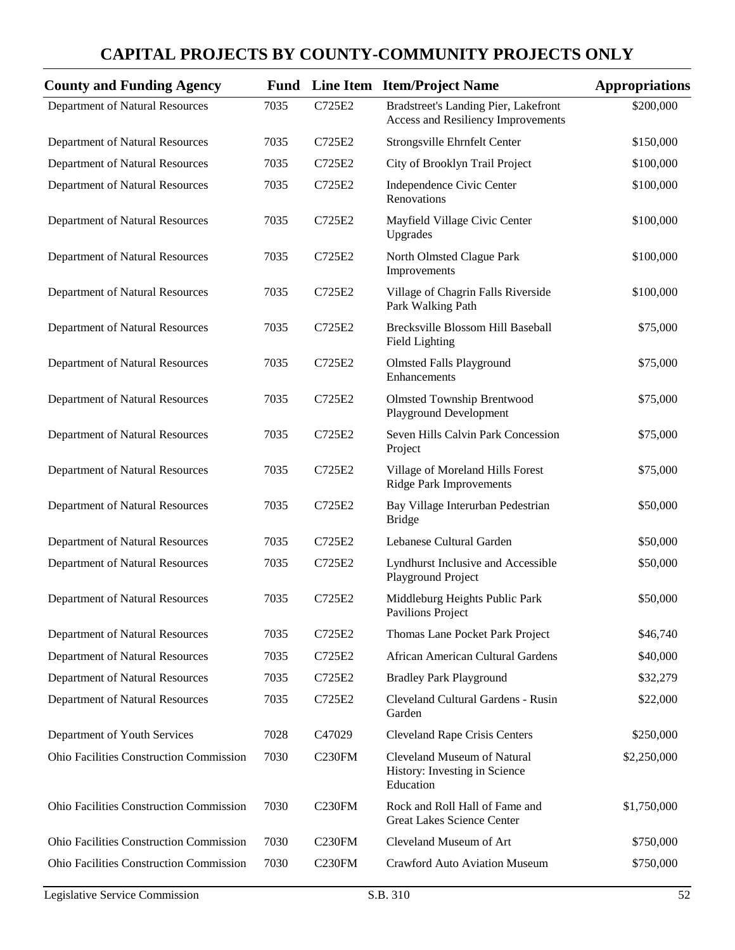| <b>County and Funding Agency</b>               |      |                    | <b>Fund</b> Line Item Item/Project Name                                    | <b>Appropriations</b> |
|------------------------------------------------|------|--------------------|----------------------------------------------------------------------------|-----------------------|
| Department of Natural Resources                | 7035 | C725E2             | Bradstreet's Landing Pier, Lakefront<br>Access and Resiliency Improvements | \$200,000             |
| Department of Natural Resources                | 7035 | C725E2             | Strongsville Ehrnfelt Center                                               | \$150,000             |
| Department of Natural Resources                | 7035 | C725E2             | City of Brooklyn Trail Project                                             | \$100,000             |
| Department of Natural Resources                | 7035 | C725E2             | Independence Civic Center<br>Renovations                                   | \$100,000             |
| Department of Natural Resources                | 7035 | C725E2             | Mayfield Village Civic Center<br>Upgrades                                  | \$100,000             |
| Department of Natural Resources                | 7035 | C725E2             | North Olmsted Clague Park<br>Improvements                                  | \$100,000             |
| Department of Natural Resources                | 7035 | C725E2             | Village of Chagrin Falls Riverside<br>Park Walking Path                    | \$100,000             |
| Department of Natural Resources                | 7035 | C725E2             | Brecksville Blossom Hill Baseball<br>Field Lighting                        | \$75,000              |
| Department of Natural Resources                | 7035 | C725E2             | <b>Olmsted Falls Playground</b><br>Enhancements                            | \$75,000              |
| Department of Natural Resources                | 7035 | C725E2             | <b>Olmsted Township Brentwood</b><br><b>Playground Development</b>         | \$75,000              |
| Department of Natural Resources                | 7035 | C725E2             | Seven Hills Calvin Park Concession<br>Project                              | \$75,000              |
| Department of Natural Resources                | 7035 | C725E2             | Village of Moreland Hills Forest<br><b>Ridge Park Improvements</b>         | \$75,000              |
| Department of Natural Resources                | 7035 | C725E2             | Bay Village Interurban Pedestrian<br><b>Bridge</b>                         | \$50,000              |
| Department of Natural Resources                | 7035 | C725E2             | Lebanese Cultural Garden                                                   | \$50,000              |
| Department of Natural Resources                | 7035 | C725E2             | Lyndhurst Inclusive and Accessible<br>Playground Project                   | \$50,000              |
| Department of Natural Resources                | 7035 | C725E2             | Middleburg Heights Public Park<br>Pavilions Project                        | \$50,000              |
| Department of Natural Resources                | 7035 | C725E2             | Thomas Lane Pocket Park Project                                            | \$46,740              |
| Department of Natural Resources                | 7035 | C725E2             | African American Cultural Gardens                                          | \$40,000              |
| Department of Natural Resources                | 7035 | C725E2             | <b>Bradley Park Playground</b>                                             | \$32,279              |
| Department of Natural Resources                | 7035 | C725E2             | Cleveland Cultural Gardens - Rusin<br>Garden                               | \$22,000              |
| Department of Youth Services                   | 7028 | C47029             | <b>Cleveland Rape Crisis Centers</b>                                       | \$250,000             |
| <b>Ohio Facilities Construction Commission</b> | 7030 | C <sub>230FM</sub> | Cleveland Museum of Natural<br>History: Investing in Science<br>Education  | \$2,250,000           |
| <b>Ohio Facilities Construction Commission</b> | 7030 | C <sub>230FM</sub> | Rock and Roll Hall of Fame and<br><b>Great Lakes Science Center</b>        | \$1,750,000           |
| <b>Ohio Facilities Construction Commission</b> | 7030 | <b>C230FM</b>      | Cleveland Museum of Art                                                    | \$750,000             |
| <b>Ohio Facilities Construction Commission</b> | 7030 | <b>C230FM</b>      | <b>Crawford Auto Aviation Museum</b>                                       | \$750,000             |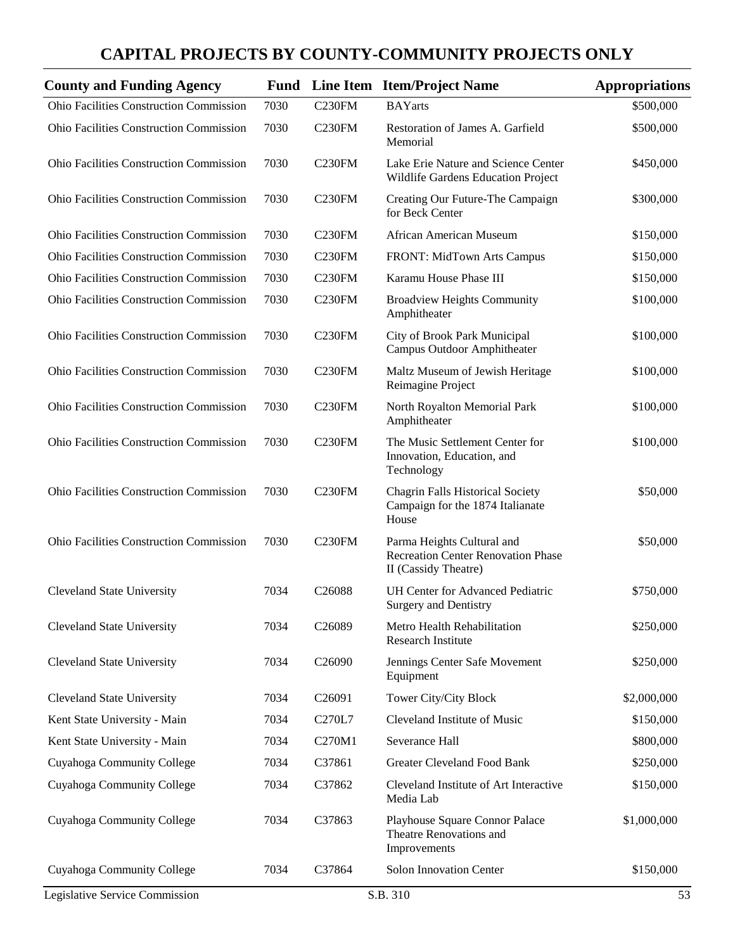| <b>County and Funding Agency</b>               |      |                    | <b>Fund</b> Line Item Item/Project Name                                                         | <b>Appropriations</b> |
|------------------------------------------------|------|--------------------|-------------------------------------------------------------------------------------------------|-----------------------|
| Ohio Facilities Construction Commission        | 7030 | C230FM             | <b>BAYarts</b>                                                                                  | \$500,000             |
| <b>Ohio Facilities Construction Commission</b> | 7030 | C <sub>230FM</sub> | Restoration of James A. Garfield<br>Memorial                                                    | \$500,000             |
| <b>Ohio Facilities Construction Commission</b> | 7030 | C230FM             | Lake Erie Nature and Science Center<br>Wildlife Gardens Education Project                       | \$450,000             |
| <b>Ohio Facilities Construction Commission</b> | 7030 | C230FM             | Creating Our Future-The Campaign<br>for Beck Center                                             | \$300,000             |
| <b>Ohio Facilities Construction Commission</b> | 7030 | C <sub>230FM</sub> | African American Museum                                                                         | \$150,000             |
| <b>Ohio Facilities Construction Commission</b> | 7030 | C <sub>230FM</sub> | FRONT: MidTown Arts Campus                                                                      | \$150,000             |
| <b>Ohio Facilities Construction Commission</b> | 7030 | C <sub>230FM</sub> | Karamu House Phase III                                                                          | \$150,000             |
| <b>Ohio Facilities Construction Commission</b> | 7030 | C <sub>230FM</sub> | <b>Broadview Heights Community</b><br>Amphitheater                                              | \$100,000             |
| <b>Ohio Facilities Construction Commission</b> | 7030 | C <sub>230FM</sub> | City of Brook Park Municipal<br>Campus Outdoor Amphitheater                                     | \$100,000             |
| <b>Ohio Facilities Construction Commission</b> | 7030 | C <sub>230FM</sub> | Maltz Museum of Jewish Heritage<br>Reimagine Project                                            | \$100,000             |
| <b>Ohio Facilities Construction Commission</b> | 7030 | C <sub>230FM</sub> | North Royalton Memorial Park<br>Amphitheater                                                    | \$100,000             |
| <b>Ohio Facilities Construction Commission</b> | 7030 | C230FM             | The Music Settlement Center for<br>Innovation, Education, and<br>Technology                     | \$100,000             |
| <b>Ohio Facilities Construction Commission</b> | 7030 | C <sub>230FM</sub> | <b>Chagrin Falls Historical Society</b><br>Campaign for the 1874 Italianate<br>House            | \$50,000              |
| <b>Ohio Facilities Construction Commission</b> | 7030 | C230FM             | Parma Heights Cultural and<br><b>Recreation Center Renovation Phase</b><br>II (Cassidy Theatre) | \$50,000              |
| <b>Cleveland State University</b>              | 7034 | C26088             | <b>UH Center for Advanced Pediatric</b><br><b>Surgery and Dentistry</b>                         | \$750,000             |
| <b>Cleveland State University</b>              | 7034 | C26089             | Metro Health Rehabilitation<br>Research Institute                                               | \$250,000             |
| <b>Cleveland State University</b>              | 7034 | C <sub>26090</sub> | Jennings Center Safe Movement<br>Equipment                                                      | \$250,000             |
| <b>Cleveland State University</b>              | 7034 | C <sub>26091</sub> | Tower City/City Block                                                                           | \$2,000,000           |
| Kent State University - Main                   | 7034 | C270L7             | Cleveland Institute of Music                                                                    | \$150,000             |
| Kent State University - Main                   | 7034 | C270M1             | Severance Hall                                                                                  | \$800,000             |
| Cuyahoga Community College                     | 7034 | C37861             | <b>Greater Cleveland Food Bank</b>                                                              | \$250,000             |
| Cuyahoga Community College                     | 7034 | C37862             | Cleveland Institute of Art Interactive<br>Media Lab                                             | \$150,000             |
| Cuyahoga Community College                     | 7034 | C37863             | Playhouse Square Connor Palace<br>Theatre Renovations and<br>Improvements                       | \$1,000,000           |
| Cuyahoga Community College                     | 7034 | C37864             | Solon Innovation Center                                                                         | \$150,000             |
| Legislative Service Commission                 |      |                    | S.B. 310                                                                                        | 53                    |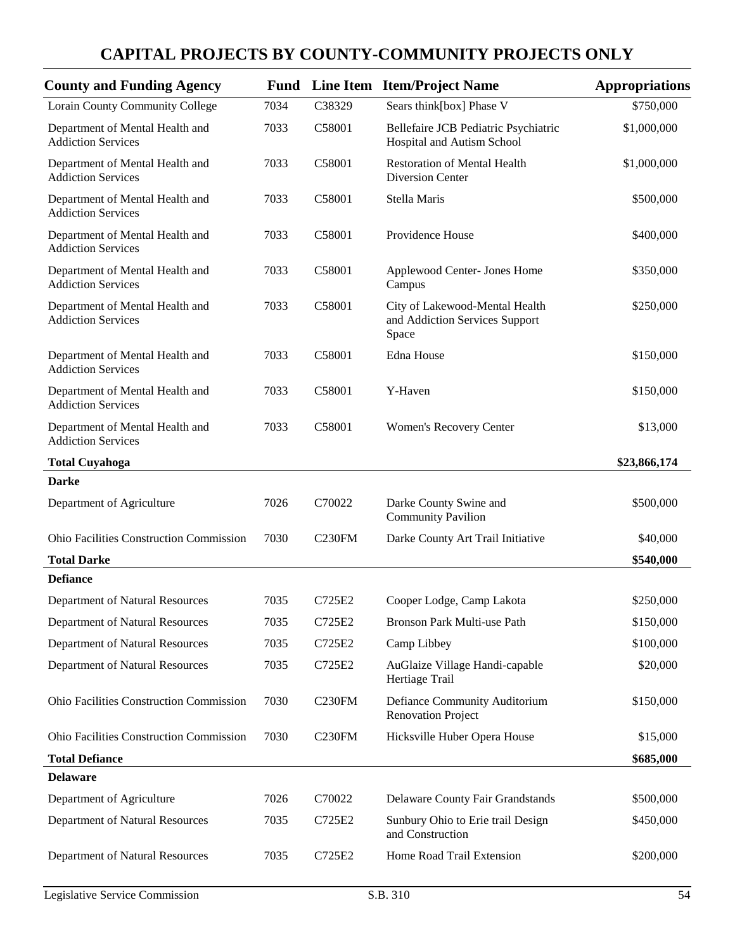| <b>County and Funding Agency</b>                             |      |                    | <b>Fund</b> Line Item Item/Project Name                                   | <b>Appropriations</b> |
|--------------------------------------------------------------|------|--------------------|---------------------------------------------------------------------------|-----------------------|
| Lorain County Community College                              | 7034 | C38329             | Sears think[box] Phase V                                                  | \$750,000             |
| Department of Mental Health and<br><b>Addiction Services</b> | 7033 | C58001             | Bellefaire JCB Pediatric Psychiatric<br>Hospital and Autism School        | \$1,000,000           |
| Department of Mental Health and<br><b>Addiction Services</b> | 7033 | C58001             | <b>Restoration of Mental Health</b><br>Diversion Center                   | \$1,000,000           |
| Department of Mental Health and<br><b>Addiction Services</b> | 7033 | C58001             | Stella Maris                                                              | \$500,000             |
| Department of Mental Health and<br><b>Addiction Services</b> | 7033 | C58001             | Providence House                                                          | \$400,000             |
| Department of Mental Health and<br><b>Addiction Services</b> | 7033 | C58001             | Applewood Center- Jones Home<br>Campus                                    | \$350,000             |
| Department of Mental Health and<br><b>Addiction Services</b> | 7033 | C58001             | City of Lakewood-Mental Health<br>and Addiction Services Support<br>Space | \$250,000             |
| Department of Mental Health and<br><b>Addiction Services</b> | 7033 | C58001             | Edna House                                                                | \$150,000             |
| Department of Mental Health and<br><b>Addiction Services</b> | 7033 | C58001             | Y-Haven                                                                   | \$150,000             |
| Department of Mental Health and<br><b>Addiction Services</b> | 7033 | C58001             | Women's Recovery Center                                                   | \$13,000              |
| <b>Total Cuyahoga</b>                                        |      |                    |                                                                           | \$23,866,174          |
| <b>Darke</b>                                                 |      |                    |                                                                           |                       |
| Department of Agriculture                                    | 7026 | C70022             | Darke County Swine and<br><b>Community Pavilion</b>                       | \$500,000             |
| Ohio Facilities Construction Commission                      | 7030 | <b>C230FM</b>      | Darke County Art Trail Initiative                                         | \$40,000              |
| <b>Total Darke</b>                                           |      |                    |                                                                           | \$540,000             |
| <b>Defiance</b>                                              |      |                    |                                                                           |                       |
| Department of Natural Resources                              | 7035 | C725E2             | Cooper Lodge, Camp Lakota                                                 | \$250,000             |
| Department of Natural Resources                              | 7035 | C725E2             | Bronson Park Multi-use Path                                               | \$150,000             |
| Department of Natural Resources                              | 7035 | C725E2             | Camp Libbey                                                               | \$100,000             |
| Department of Natural Resources                              | 7035 | C725E2             | AuGlaize Village Handi-capable<br>Hertiage Trail                          | \$20,000              |
| Ohio Facilities Construction Commission                      | 7030 | C <sub>230FM</sub> | Defiance Community Auditorium<br><b>Renovation Project</b>                | \$150,000             |
| Ohio Facilities Construction Commission                      | 7030 | C <sub>230FM</sub> | Hicksville Huber Opera House                                              | \$15,000              |
| <b>Total Defiance</b>                                        |      |                    |                                                                           | \$685,000             |
| <b>Delaware</b>                                              |      |                    |                                                                           |                       |
| Department of Agriculture                                    | 7026 | C70022             | Delaware County Fair Grandstands                                          | \$500,000             |
| Department of Natural Resources                              | 7035 | C725E2             | Sunbury Ohio to Erie trail Design<br>and Construction                     | \$450,000             |
| Department of Natural Resources                              | 7035 | C725E2             | Home Road Trail Extension                                                 | \$200,000             |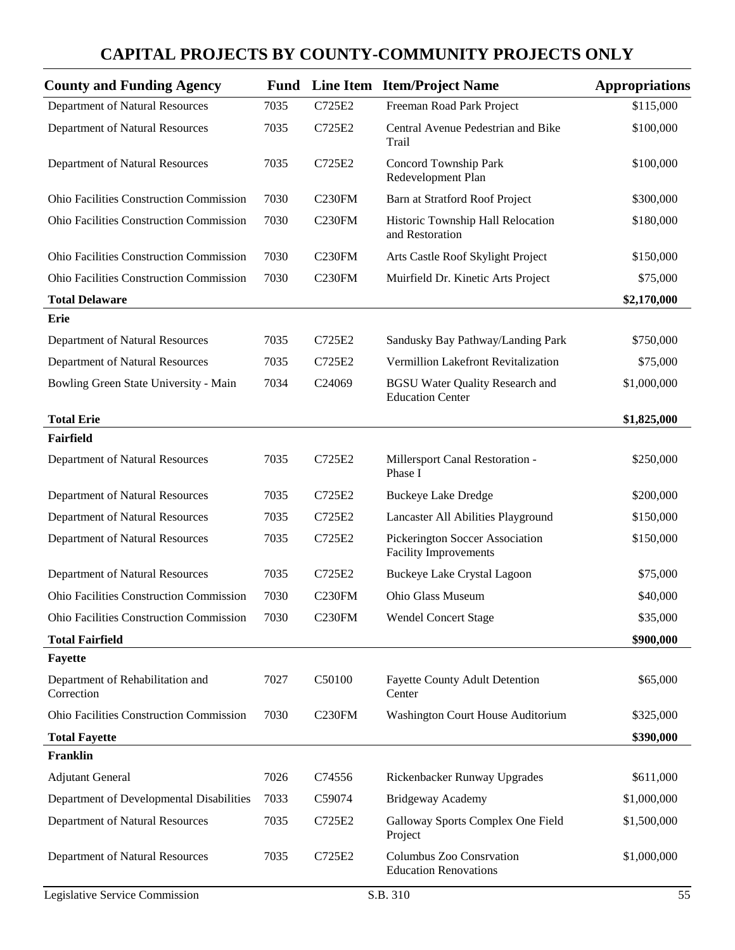| <b>County and Funding Agency</b>               |      |                    | <b>Fund</b> Line Item Item/Project Name                           | <b>Appropriations</b> |
|------------------------------------------------|------|--------------------|-------------------------------------------------------------------|-----------------------|
| <b>Department of Natural Resources</b>         | 7035 | C725E2             | Freeman Road Park Project                                         | \$115,000             |
| Department of Natural Resources                | 7035 | C725E2             | Central Avenue Pedestrian and Bike<br>Trail                       | \$100,000             |
| Department of Natural Resources                | 7035 | C725E2             | Concord Township Park<br>Redevelopment Plan                       | \$100,000             |
| <b>Ohio Facilities Construction Commission</b> | 7030 | C <sub>230FM</sub> | Barn at Stratford Roof Project                                    | \$300,000             |
| <b>Ohio Facilities Construction Commission</b> | 7030 | C <sub>230FM</sub> | Historic Township Hall Relocation<br>and Restoration              | \$180,000             |
| <b>Ohio Facilities Construction Commission</b> | 7030 | C <sub>230FM</sub> | Arts Castle Roof Skylight Project                                 | \$150,000             |
| <b>Ohio Facilities Construction Commission</b> | 7030 | C <sub>230FM</sub> | Muirfield Dr. Kinetic Arts Project                                | \$75,000              |
| <b>Total Delaware</b>                          |      |                    |                                                                   | \$2,170,000           |
| Erie                                           |      |                    |                                                                   |                       |
| Department of Natural Resources                | 7035 | C725E2             | Sandusky Bay Pathway/Landing Park                                 | \$750,000             |
| Department of Natural Resources                | 7035 | C725E2             | Vermillion Lakefront Revitalization                               | \$75,000              |
| Bowling Green State University - Main          | 7034 | C24069             | <b>BGSU Water Quality Research and</b><br><b>Education Center</b> | \$1,000,000           |
| <b>Total Erie</b>                              |      |                    |                                                                   | \$1,825,000           |
| Fairfield                                      |      |                    |                                                                   |                       |
| Department of Natural Resources                | 7035 | C725E2             | Millersport Canal Restoration -<br>Phase I                        | \$250,000             |
| Department of Natural Resources                | 7035 | C725E2             | <b>Buckeye Lake Dredge</b>                                        | \$200,000             |
| Department of Natural Resources                | 7035 | C725E2             | Lancaster All Abilities Playground                                | \$150,000             |
| Department of Natural Resources                | 7035 | C725E2             | Pickerington Soccer Association<br><b>Facility Improvements</b>   | \$150,000             |
| Department of Natural Resources                | 7035 | C725E2             | <b>Buckeye Lake Crystal Lagoon</b>                                | \$75,000              |
| Ohio Facilities Construction Commission        | 7030 | C230FM             | Ohio Glass Museum                                                 | \$40,000              |
| Ohio Facilities Construction Commission        | 7030 | C <sub>230FM</sub> | <b>Wendel Concert Stage</b>                                       | \$35,000              |
| <b>Total Fairfield</b>                         |      |                    |                                                                   | \$900,000             |
| <b>Fayette</b>                                 |      |                    |                                                                   |                       |
| Department of Rehabilitation and<br>Correction | 7027 | C50100             | <b>Fayette County Adult Detention</b><br>Center                   | \$65,000              |
| Ohio Facilities Construction Commission        | 7030 | C <sub>230FM</sub> | Washington Court House Auditorium                                 | \$325,000             |
| <b>Total Fayette</b>                           |      |                    |                                                                   | \$390,000             |
| Franklin                                       |      |                    |                                                                   |                       |
| <b>Adjutant General</b>                        | 7026 | C74556             | Rickenbacker Runway Upgrades                                      | \$611,000             |
| Department of Developmental Disabilities       | 7033 | C59074             | <b>Bridgeway Academy</b>                                          | \$1,000,000           |
| Department of Natural Resources                | 7035 | C725E2             | Galloway Sports Complex One Field<br>Project                      | \$1,500,000           |
| Department of Natural Resources                | 7035 | C725E2             | Columbus Zoo Consrvation<br><b>Education Renovations</b>          | \$1,000,000           |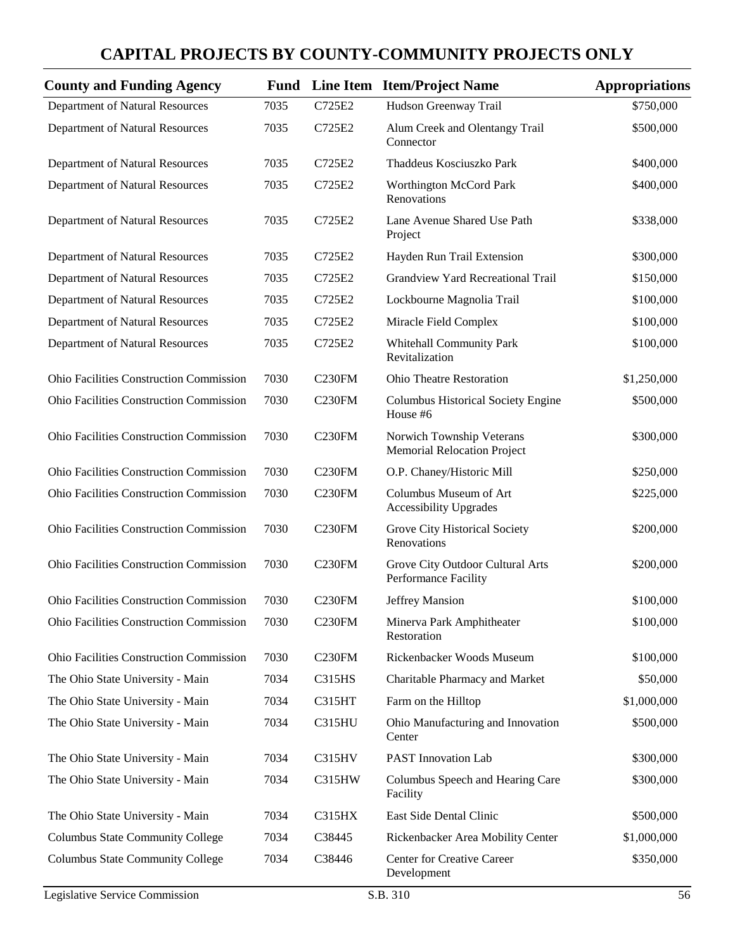| <b>County and Funding Agency</b>               |      |                    | <b>Fund</b> Line Item Item/Project Name                         | <b>Appropriations</b> |
|------------------------------------------------|------|--------------------|-----------------------------------------------------------------|-----------------------|
| Department of Natural Resources                | 7035 | C725E2             | Hudson Greenway Trail                                           | \$750,000             |
| Department of Natural Resources                | 7035 | C725E2             | Alum Creek and Olentangy Trail<br>Connector                     | \$500,000             |
| Department of Natural Resources                | 7035 | C725E2             | Thaddeus Kosciuszko Park                                        | \$400,000             |
| Department of Natural Resources                | 7035 | C725E2             | Worthington McCord Park<br>Renovations                          | \$400,000             |
| Department of Natural Resources                | 7035 | C725E2             | Lane Avenue Shared Use Path<br>Project                          | \$338,000             |
| Department of Natural Resources                | 7035 | C725E2             | Hayden Run Trail Extension                                      | \$300,000             |
| Department of Natural Resources                | 7035 | C725E2             | Grandview Yard Recreational Trail                               | \$150,000             |
| Department of Natural Resources                | 7035 | C725E2             | Lockbourne Magnolia Trail                                       | \$100,000             |
| Department of Natural Resources                | 7035 | C725E2             | Miracle Field Complex                                           | \$100,000             |
| Department of Natural Resources                | 7035 | C725E2             | <b>Whitehall Community Park</b><br>Revitalization               | \$100,000             |
| <b>Ohio Facilities Construction Commission</b> | 7030 | C <sub>230FM</sub> | <b>Ohio Theatre Restoration</b>                                 | \$1,250,000           |
| <b>Ohio Facilities Construction Commission</b> | 7030 | <b>C230FM</b>      | <b>Columbus Historical Society Engine</b><br>House #6           | \$500,000             |
| <b>Ohio Facilities Construction Commission</b> | 7030 | <b>C230FM</b>      | Norwich Township Veterans<br><b>Memorial Relocation Project</b> | \$300,000             |
| <b>Ohio Facilities Construction Commission</b> | 7030 | <b>C230FM</b>      | O.P. Chaney/Historic Mill                                       | \$250,000             |
| Ohio Facilities Construction Commission        | 7030 | C <sub>230FM</sub> | Columbus Museum of Art<br><b>Accessibility Upgrades</b>         | \$225,000             |
| <b>Ohio Facilities Construction Commission</b> | 7030 | <b>C230FM</b>      | Grove City Historical Society<br>Renovations                    | \$200,000             |
| Ohio Facilities Construction Commission        | 7030 | C <sub>230FM</sub> | Grove City Outdoor Cultural Arts<br>Performance Facility        | \$200,000             |
| <b>Ohio Facilities Construction Commission</b> | 7030 | C <sub>230FM</sub> | <b>Jeffrey Mansion</b>                                          | \$100,000             |
| Ohio Facilities Construction Commission        | 7030 | <b>C230FM</b>      | Minerva Park Amphitheater<br>Restoration                        | \$100,000             |
| <b>Ohio Facilities Construction Commission</b> | 7030 | <b>C230FM</b>      | Rickenbacker Woods Museum                                       | \$100,000             |
| The Ohio State University - Main               | 7034 | <b>C315HS</b>      | Charitable Pharmacy and Market                                  | \$50,000              |
| The Ohio State University - Main               | 7034 | C315HT             | Farm on the Hilltop                                             | \$1,000,000           |
| The Ohio State University - Main               | 7034 | C315HU             | Ohio Manufacturing and Innovation<br>Center                     | \$500,000             |
| The Ohio State University - Main               | 7034 | C315HV             | <b>PAST</b> Innovation Lab                                      | \$300,000             |
| The Ohio State University - Main               | 7034 | C315HW             | Columbus Speech and Hearing Care<br>Facility                    | \$300,000             |
| The Ohio State University - Main               | 7034 | <b>C315HX</b>      | East Side Dental Clinic                                         | \$500,000             |
| <b>Columbus State Community College</b>        | 7034 | C38445             | Rickenbacker Area Mobility Center                               | \$1,000,000           |
| <b>Columbus State Community College</b>        | 7034 | C38446             | Center for Creative Career<br>Development                       | \$350,000             |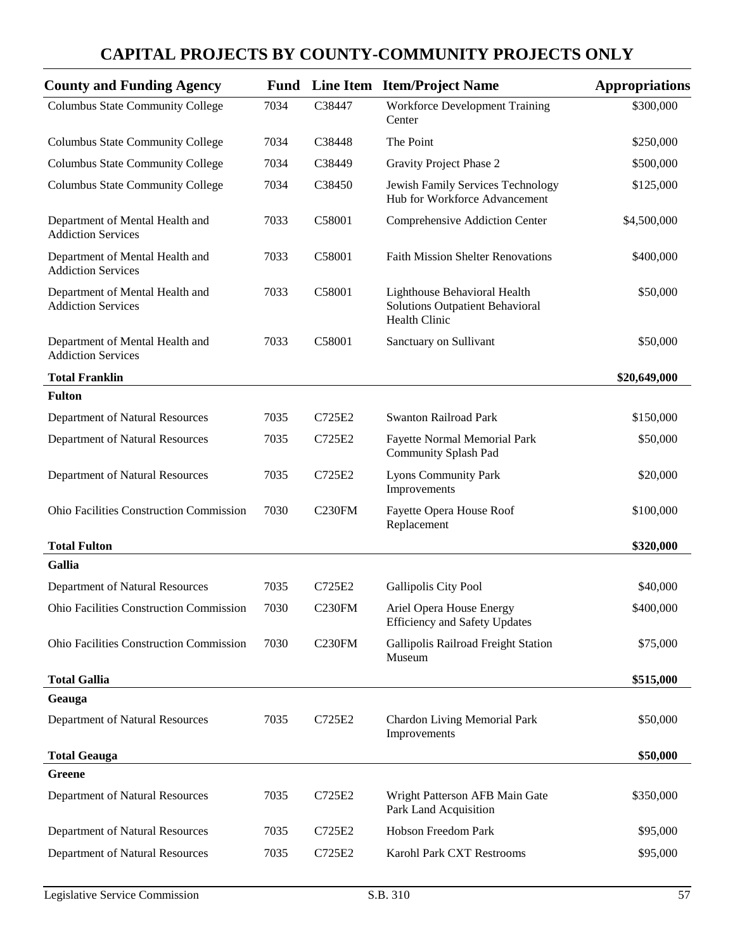| <b>County and Funding Agency</b>                             |      |                    | <b>Fund</b> Line Item Item/Project Name                                                 | <b>Appropriations</b> |
|--------------------------------------------------------------|------|--------------------|-----------------------------------------------------------------------------------------|-----------------------|
| <b>Columbus State Community College</b>                      | 7034 | C38447             | <b>Workforce Development Training</b><br>Center                                         | \$300,000             |
| <b>Columbus State Community College</b>                      | 7034 | C38448             | The Point                                                                               | \$250,000             |
| <b>Columbus State Community College</b>                      | 7034 | C38449             | Gravity Project Phase 2                                                                 | \$500,000             |
| <b>Columbus State Community College</b>                      | 7034 | C38450             | Jewish Family Services Technology<br>Hub for Workforce Advancement                      | \$125,000             |
| Department of Mental Health and<br><b>Addiction Services</b> | 7033 | C58001             | Comprehensive Addiction Center                                                          | \$4,500,000           |
| Department of Mental Health and<br><b>Addiction Services</b> | 7033 | C58001             | <b>Faith Mission Shelter Renovations</b>                                                | \$400,000             |
| Department of Mental Health and<br><b>Addiction Services</b> | 7033 | C58001             | Lighthouse Behavioral Health<br><b>Solutions Outpatient Behavioral</b><br>Health Clinic | \$50,000              |
| Department of Mental Health and<br><b>Addiction Services</b> | 7033 | C58001             | Sanctuary on Sullivant                                                                  | \$50,000              |
| <b>Total Franklin</b>                                        |      |                    |                                                                                         | \$20,649,000          |
| <b>Fulton</b>                                                |      |                    |                                                                                         |                       |
| Department of Natural Resources                              | 7035 | C725E2             | <b>Swanton Railroad Park</b>                                                            | \$150,000             |
| Department of Natural Resources                              | 7035 | C725E2             | <b>Fayette Normal Memorial Park</b><br><b>Community Splash Pad</b>                      | \$50,000              |
| Department of Natural Resources                              | 7035 | C725E2             | <b>Lyons Community Park</b><br>Improvements                                             | \$20,000              |
| Ohio Facilities Construction Commission                      | 7030 | <b>C230FM</b>      | Fayette Opera House Roof<br>Replacement                                                 | \$100,000             |
| <b>Total Fulton</b>                                          |      |                    |                                                                                         | \$320,000             |
| <b>Gallia</b>                                                |      |                    |                                                                                         |                       |
| Department of Natural Resources                              | 7035 | C725E2             | <b>Gallipolis City Pool</b>                                                             | \$40,000              |
| Ohio Facilities Construction Commission                      | 7030 | C <sub>230FM</sub> | Ariel Opera House Energy<br><b>Efficiency and Safety Updates</b>                        | \$400,000             |
| Ohio Facilities Construction Commission                      | 7030 | <b>C230FM</b>      | Gallipolis Railroad Freight Station<br>Museum                                           | \$75,000              |
| <b>Total Gallia</b>                                          |      |                    |                                                                                         | \$515,000             |
| Geauga                                                       |      |                    |                                                                                         |                       |
| Department of Natural Resources                              | 7035 | C725E2             | <b>Chardon Living Memorial Park</b><br>Improvements                                     | \$50,000              |
| <b>Total Geauga</b>                                          |      |                    |                                                                                         | \$50,000              |
| Greene                                                       |      |                    |                                                                                         |                       |
| Department of Natural Resources                              | 7035 | C725E2             | Wright Patterson AFB Main Gate<br>Park Land Acquisition                                 | \$350,000             |
| Department of Natural Resources                              | 7035 | C725E2             | Hobson Freedom Park                                                                     | \$95,000              |
| Department of Natural Resources                              | 7035 | C725E2             | Karohl Park CXT Restrooms                                                               | \$95,000              |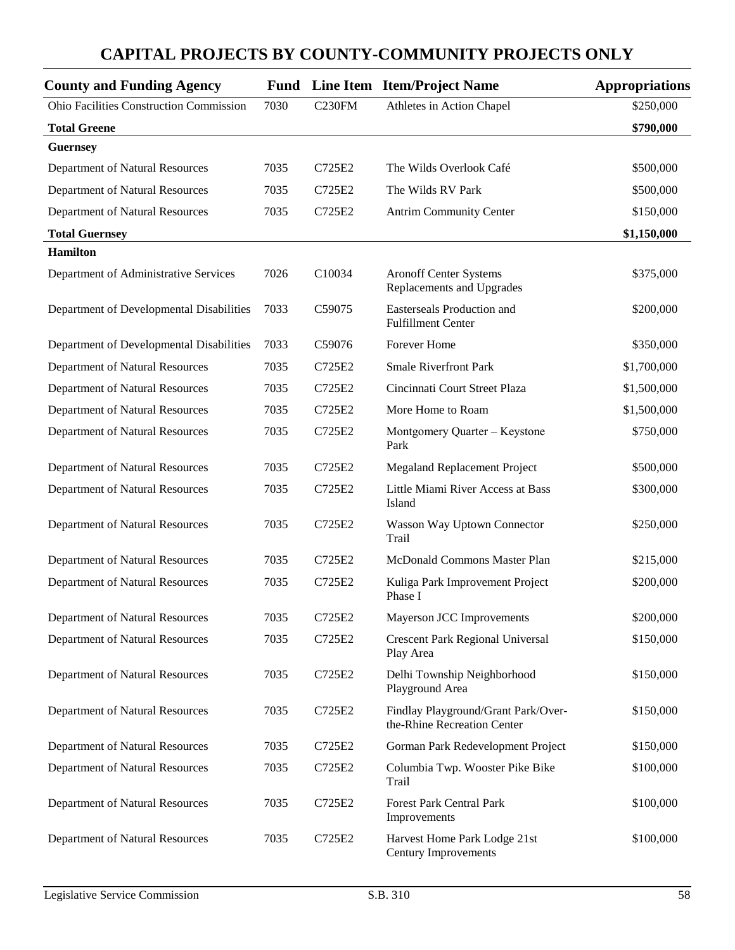#### **County and Funding Agency Fund Line Item Item/Project Name Appropriations** Ohio Facilities Construction Commission 7030 C230FM Athletes in Action Chapel \$250,000 **Total Greene \$790,000 Guernsey** Department of Natural Resources 7035 C725E2 The Wilds Overlook Café \$500,000 Department of Natural Resources 7035 C725E2 The Wilds RV Park \$500,000 Department of Natural Resources 7035 C725E2 Antrim Community Center \$150,000 **Total Guernsey \$1,150,000 Hamilton** Department of Administrative Services 7026 C10034 Aronoff Center Systems Replacements and Upgrades \$375,000 Department of Developmental Disabilities 7033 C59075 Easterseals Production and Fulfillment Center \$200,000 Department of Developmental Disabilities 7033 C59076 Forever Home \$350,000 Department of Natural Resources 7035 C725E2 Smale Riverfront Park \$1,700,000 Department of Natural Resources 7035 C725E2 Cincinnati Court Street Plaza \$1,500,000 Department of Natural Resources 7035 C725E2 More Home to Roam \$1,500,000 Department of Natural Resources 7035 C725E2 Montgomery Quarter – Keystone Park \$750,000 Department of Natural Resources 7035 C725E2 Megaland Replacement Project \$500,000 Department of Natural Resources 7035 C725E2 Little Miami River Access at Bass Island \$300,000 Department of Natural Resources 7035 C725E2 Wasson Way Uptown Connector Trail \$250,000 Department of Natural Resources 7035 C725E2 McDonald Commons Master Plan \$215,000 Department of Natural Resources 7035 C725E2 Kuliga Park Improvement Project Phase I \$200,000 Department of Natural Resources 7035 C725E2 Mayerson JCC Improvements \$200,000 Department of Natural Resources 7035 C725E2 Crescent Park Regional Universal Play Area \$150,000 Department of Natural Resources 7035 C725E2 Delhi Township Neighborhood Playground Area \$150,000 Department of Natural Resources 7035 C725E2 Findlay Playground/Grant Park/Overthe-Rhine Recreation Center \$150,000 Department of Natural Resources 7035 C725E2 Gorman Park Redevelopment Project \$150,000 Department of Natural Resources 7035 C725E2 Columbia Twp. Wooster Pike Bike Trail \$100,000 Department of Natural Resources 7035 C725E2 Forest Park Central Park Improvements \$100,000 Department of Natural Resources 7035 C725E2 Harvest Home Park Lodge 21st Century Improvements \$100,000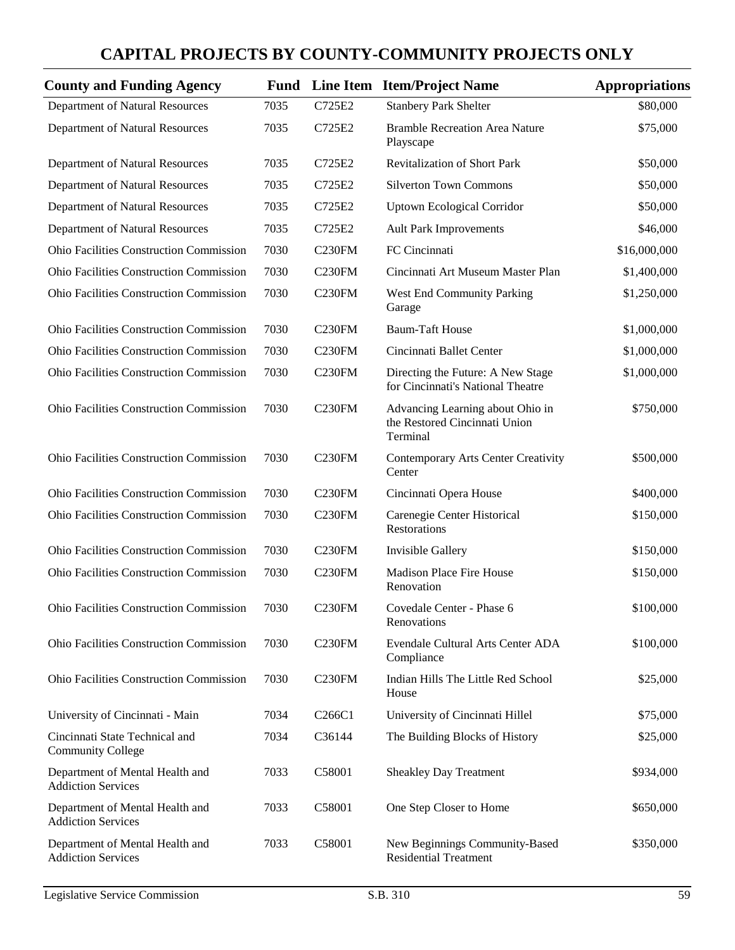| <b>County and Funding Agency</b>                             |      |                     | <b>Fund</b> Line Item Item/Project Name                                       | <b>Appropriations</b> |
|--------------------------------------------------------------|------|---------------------|-------------------------------------------------------------------------------|-----------------------|
| Department of Natural Resources                              | 7035 | C725E2              | <b>Stanbery Park Shelter</b>                                                  | \$80,000              |
| Department of Natural Resources                              | 7035 | C725E2              | <b>Bramble Recreation Area Nature</b><br>Playscape                            | \$75,000              |
| Department of Natural Resources                              | 7035 | C725E2              | <b>Revitalization of Short Park</b>                                           | \$50,000              |
| Department of Natural Resources                              | 7035 | C725E2              | <b>Silverton Town Commons</b>                                                 | \$50,000              |
| Department of Natural Resources                              | 7035 | C725E2              | <b>Uptown Ecological Corridor</b>                                             | \$50,000              |
| Department of Natural Resources                              | 7035 | C725E2              | <b>Ault Park Improvements</b>                                                 | \$46,000              |
| Ohio Facilities Construction Commission                      | 7030 | C230FM              | FC Cincinnati                                                                 | \$16,000,000          |
| Ohio Facilities Construction Commission                      | 7030 | <b>C230FM</b>       | Cincinnati Art Museum Master Plan                                             | \$1,400,000           |
| Ohio Facilities Construction Commission                      | 7030 | C <sub>230FM</sub>  | <b>West End Community Parking</b><br>Garage                                   | \$1,250,000           |
| Ohio Facilities Construction Commission                      | 7030 | C <sub>230</sub> FM | <b>Baum-Taft House</b>                                                        | \$1,000,000           |
| <b>Ohio Facilities Construction Commission</b>               | 7030 | C230FM              | Cincinnati Ballet Center                                                      | \$1,000,000           |
| Ohio Facilities Construction Commission                      | 7030 | C <sub>230FM</sub>  | Directing the Future: A New Stage<br>for Cincinnati's National Theatre        | \$1,000,000           |
| Ohio Facilities Construction Commission                      | 7030 | C230FM              | Advancing Learning about Ohio in<br>the Restored Cincinnati Union<br>Terminal | \$750,000             |
| Ohio Facilities Construction Commission                      | 7030 | C230FM              | <b>Contemporary Arts Center Creativity</b><br>Center                          | \$500,000             |
| Ohio Facilities Construction Commission                      | 7030 | C <sub>230FM</sub>  | Cincinnati Opera House                                                        | \$400,000             |
| Ohio Facilities Construction Commission                      | 7030 | <b>C230FM</b>       | Carenegie Center Historical<br>Restorations                                   | \$150,000             |
| Ohio Facilities Construction Commission                      | 7030 | C <sub>230FM</sub>  | Invisible Gallery                                                             | \$150,000             |
| Ohio Facilities Construction Commission                      | 7030 | <b>C230FM</b>       | <b>Madison Place Fire House</b><br>Renovation                                 | \$150,000             |
| Ohio Facilities Construction Commission                      | 7030 | C <sub>230</sub> FM | Covedale Center - Phase 6<br>Renovations                                      | \$100,000             |
| Ohio Facilities Construction Commission                      | 7030 | C <sub>230FM</sub>  | Evendale Cultural Arts Center ADA<br>Compliance                               | \$100,000             |
| Ohio Facilities Construction Commission                      | 7030 | C <sub>230FM</sub>  | Indian Hills The Little Red School<br>House                                   | \$25,000              |
| University of Cincinnati - Main                              | 7034 | C266C1              | University of Cincinnati Hillel                                               | \$75,000              |
| Cincinnati State Technical and<br><b>Community College</b>   | 7034 | C36144              | The Building Blocks of History                                                | \$25,000              |
| Department of Mental Health and<br><b>Addiction Services</b> | 7033 | C58001              | <b>Sheakley Day Treatment</b>                                                 | \$934,000             |
| Department of Mental Health and<br><b>Addiction Services</b> | 7033 | C58001              | One Step Closer to Home                                                       | \$650,000             |
| Department of Mental Health and<br><b>Addiction Services</b> | 7033 | C58001              | New Beginnings Community-Based<br><b>Residential Treatment</b>                | \$350,000             |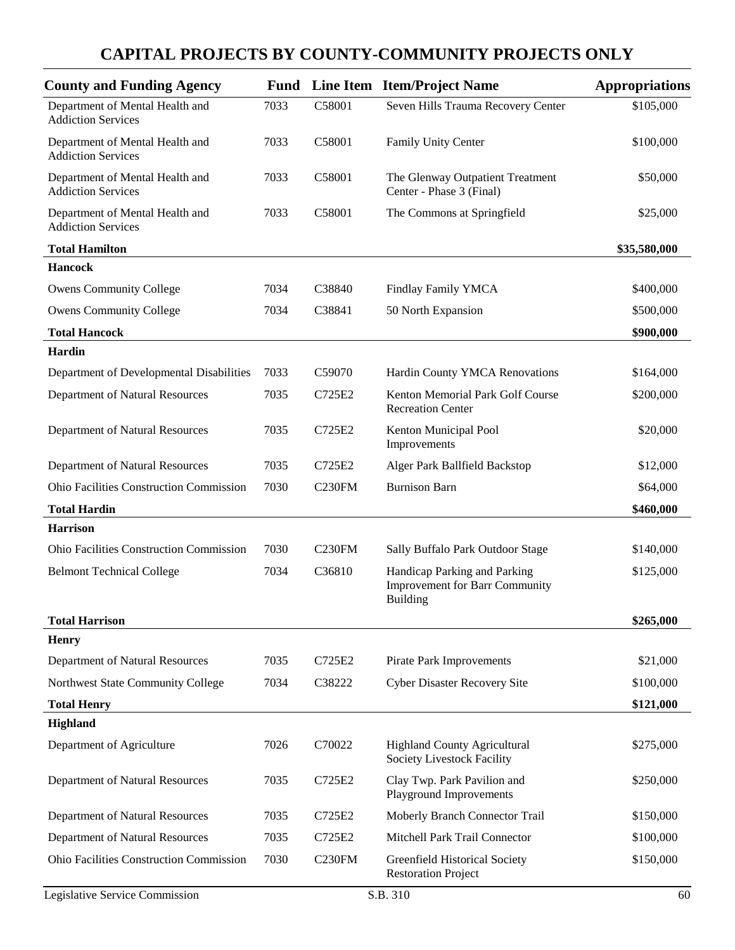| <b>County and Funding Agency</b>                             |      |                    | <b>Fund</b> Line Item Item/Project Name                                           | <b>Appropriations</b> |
|--------------------------------------------------------------|------|--------------------|-----------------------------------------------------------------------------------|-----------------------|
| Department of Mental Health and<br><b>Addiction Services</b> | 7033 | C58001             | Seven Hills Trauma Recovery Center                                                | \$105,000             |
| Department of Mental Health and<br><b>Addiction Services</b> | 7033 | C58001             | <b>Family Unity Center</b>                                                        | \$100,000             |
| Department of Mental Health and<br><b>Addiction Services</b> | 7033 | C58001             | The Glenway Outpatient Treatment<br>Center - Phase 3 (Final)                      | \$50,000              |
| Department of Mental Health and<br><b>Addiction Services</b> | 7033 | C58001             | The Commons at Springfield                                                        | \$25,000              |
| <b>Total Hamilton</b>                                        |      |                    |                                                                                   | \$35,580,000          |
| <b>Hancock</b>                                               |      |                    |                                                                                   |                       |
| <b>Owens Community College</b>                               | 7034 | C38840             | <b>Findlay Family YMCA</b>                                                        | \$400,000             |
| <b>Owens Community College</b>                               | 7034 | C38841             | 50 North Expansion                                                                | \$500,000             |
| <b>Total Hancock</b>                                         |      |                    |                                                                                   | \$900,000             |
| Hardin                                                       |      |                    |                                                                                   |                       |
| Department of Developmental Disabilities                     | 7033 | C59070             | Hardin County YMCA Renovations                                                    | \$164,000             |
| Department of Natural Resources                              | 7035 | C725E2             | Kenton Memorial Park Golf Course<br><b>Recreation Center</b>                      | \$200,000             |
| Department of Natural Resources                              | 7035 | C725E2             | Kenton Municipal Pool<br>Improvements                                             | \$20,000              |
| Department of Natural Resources                              | 7035 | C725E2             | Alger Park Ballfield Backstop                                                     | \$12,000              |
| <b>Ohio Facilities Construction Commission</b>               | 7030 | C <sub>230FM</sub> | <b>Burnison Barn</b>                                                              | \$64,000              |
| <b>Total Hardin</b>                                          |      |                    |                                                                                   | \$460,000             |
| <b>Harrison</b>                                              |      |                    |                                                                                   |                       |
| Ohio Facilities Construction Commission                      | 7030 | C230FM             | Sally Buffalo Park Outdoor Stage                                                  | \$140,000             |
| <b>Belmont Technical College</b>                             | 7034 | C36810             | Handicap Parking and Parking<br><b>Improvement for Barr Community</b><br>Building | \$125,000             |
| <b>Total Harrison</b>                                        |      |                    |                                                                                   | \$265,000             |
| <b>Henry</b>                                                 |      |                    |                                                                                   |                       |
| Department of Natural Resources                              | 7035 | C725E2             | Pirate Park Improvements                                                          | \$21,000              |
| Northwest State Community College                            | 7034 | C38222             | <b>Cyber Disaster Recovery Site</b>                                               | \$100,000             |
| <b>Total Henry</b>                                           |      |                    |                                                                                   | \$121,000             |
| Highland                                                     |      |                    |                                                                                   |                       |
| Department of Agriculture                                    | 7026 | C70022             | <b>Highland County Agricultural</b><br>Society Livestock Facility                 | \$275,000             |
| Department of Natural Resources                              | 7035 | C725E2             | Clay Twp. Park Pavilion and<br>Playground Improvements                            | \$250,000             |
| Department of Natural Resources                              | 7035 | C725E2             | Moberly Branch Connector Trail                                                    | \$150,000             |
| Department of Natural Resources                              | 7035 | C725E2             | Mitchell Park Trail Connector                                                     | \$100,000             |
| Ohio Facilities Construction Commission                      | 7030 | C <sub>230FM</sub> | Greenfield Historical Society<br><b>Restoration Project</b>                       | \$150,000             |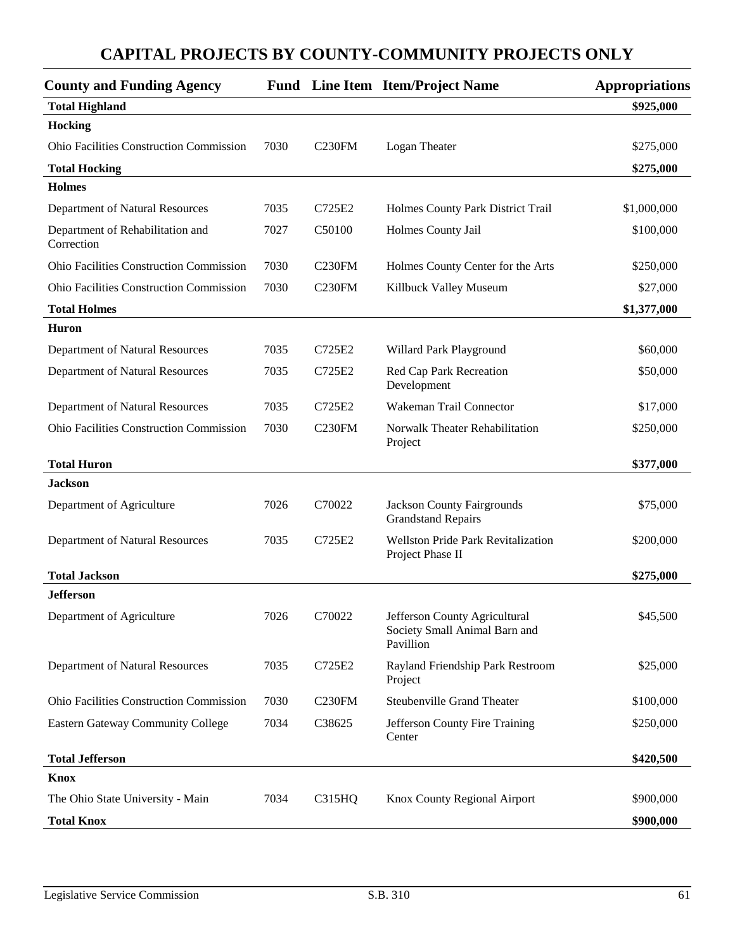| <b>County and Funding Agency</b>               |      |                    | <b>Fund</b> Line Item Item/Project Name                                     | <b>Appropriations</b> |
|------------------------------------------------|------|--------------------|-----------------------------------------------------------------------------|-----------------------|
| <b>Total Highland</b>                          |      |                    |                                                                             | \$925,000             |
| Hocking                                        |      |                    |                                                                             |                       |
| <b>Ohio Facilities Construction Commission</b> | 7030 | C <sub>230FM</sub> | Logan Theater                                                               | \$275,000             |
| <b>Total Hocking</b>                           |      |                    |                                                                             | \$275,000             |
| <b>Holmes</b>                                  |      |                    |                                                                             |                       |
| Department of Natural Resources                | 7035 | C725E2             | Holmes County Park District Trail                                           | \$1,000,000           |
| Department of Rehabilitation and<br>Correction | 7027 | C50100             | Holmes County Jail                                                          | \$100,000             |
| <b>Ohio Facilities Construction Commission</b> | 7030 | C <sub>230FM</sub> | Holmes County Center for the Arts                                           | \$250,000             |
| <b>Ohio Facilities Construction Commission</b> | 7030 | C <sub>230FM</sub> | Killbuck Valley Museum                                                      | \$27,000              |
| <b>Total Holmes</b>                            |      |                    |                                                                             | \$1,377,000           |
| <b>Huron</b>                                   |      |                    |                                                                             |                       |
| Department of Natural Resources                | 7035 | C725E2             | Willard Park Playground                                                     | \$60,000              |
| Department of Natural Resources                | 7035 | C725E2             | Red Cap Park Recreation<br>Development                                      | \$50,000              |
| Department of Natural Resources                | 7035 | C725E2             | Wakeman Trail Connector                                                     | \$17,000              |
| <b>Ohio Facilities Construction Commission</b> | 7030 | C <sub>230FM</sub> | Norwalk Theater Rehabilitation<br>Project                                   | \$250,000             |
| <b>Total Huron</b>                             |      |                    |                                                                             | \$377,000             |
| <b>Jackson</b>                                 |      |                    |                                                                             |                       |
| Department of Agriculture                      | 7026 | C70022             | <b>Jackson County Fairgrounds</b><br><b>Grandstand Repairs</b>              | \$75,000              |
| Department of Natural Resources                | 7035 | C725E2             | Wellston Pride Park Revitalization<br>Project Phase II                      | \$200,000             |
| <b>Total Jackson</b>                           |      |                    |                                                                             | \$275,000             |
| <b>Jefferson</b>                               |      |                    |                                                                             |                       |
| Department of Agriculture                      | 7026 | C70022             | Jefferson County Agricultural<br>Society Small Animal Barn and<br>Pavillion | \$45,500              |
| Department of Natural Resources                | 7035 | C725E2             | Rayland Friendship Park Restroom<br>Project                                 | \$25,000              |
| Ohio Facilities Construction Commission        | 7030 | C <sub>230FM</sub> | <b>Steubenville Grand Theater</b>                                           | \$100,000             |
| <b>Eastern Gateway Community College</b>       | 7034 | C38625             | Jefferson County Fire Training<br>Center                                    | \$250,000             |
| <b>Total Jefferson</b>                         |      |                    |                                                                             | \$420,500             |
| <b>Knox</b>                                    |      |                    |                                                                             |                       |
| The Ohio State University - Main               | 7034 | C315HQ             | Knox County Regional Airport                                                | \$900,000             |
| <b>Total Knox</b>                              |      |                    |                                                                             | \$900,000             |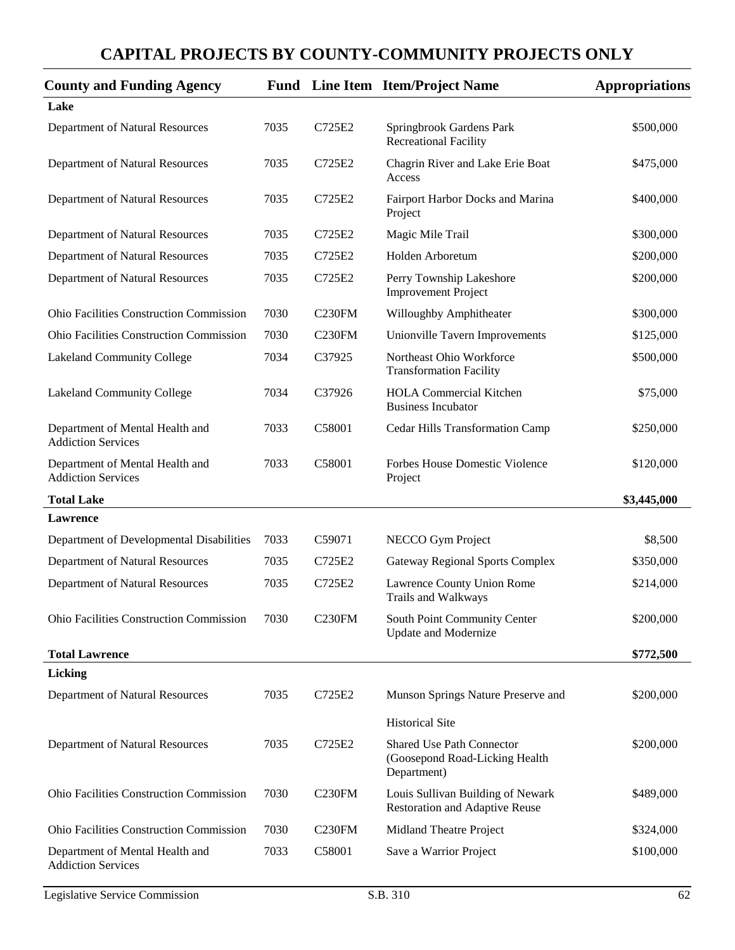| <b>County and Funding Agency</b>                             |      |                    | <b>Fund</b> Line Item Item/Project Name                                           | Appropriations |
|--------------------------------------------------------------|------|--------------------|-----------------------------------------------------------------------------------|----------------|
| Lake                                                         |      |                    |                                                                                   |                |
| Department of Natural Resources                              | 7035 | C725E2             | Springbrook Gardens Park<br><b>Recreational Facility</b>                          | \$500,000      |
| Department of Natural Resources                              | 7035 | C725E2             | Chagrin River and Lake Erie Boat<br>Access                                        | \$475,000      |
| Department of Natural Resources                              | 7035 | C725E2             | Fairport Harbor Docks and Marina<br>Project                                       | \$400,000      |
| Department of Natural Resources                              | 7035 | C725E2             | Magic Mile Trail                                                                  | \$300,000      |
| Department of Natural Resources                              | 7035 | C725E2             | Holden Arboretum                                                                  | \$200,000      |
| Department of Natural Resources                              | 7035 | C725E2             | Perry Township Lakeshore<br><b>Improvement Project</b>                            | \$200,000      |
| <b>Ohio Facilities Construction Commission</b>               | 7030 | C <sub>230FM</sub> | Willoughby Amphitheater                                                           | \$300,000      |
| Ohio Facilities Construction Commission                      | 7030 | C <sub>230FM</sub> | Unionville Tavern Improvements                                                    | \$125,000      |
| Lakeland Community College                                   | 7034 | C37925             | Northeast Ohio Workforce<br><b>Transformation Facility</b>                        | \$500,000      |
| Lakeland Community College                                   | 7034 | C37926             | <b>HOLA Commercial Kitchen</b><br><b>Business Incubator</b>                       | \$75,000       |
| Department of Mental Health and<br><b>Addiction Services</b> | 7033 | C58001             | Cedar Hills Transformation Camp                                                   | \$250,000      |
| Department of Mental Health and<br><b>Addiction Services</b> | 7033 | C58001             | Forbes House Domestic Violence<br>Project                                         | \$120,000      |
| <b>Total Lake</b>                                            |      |                    |                                                                                   | \$3,445,000    |
| Lawrence                                                     |      |                    |                                                                                   |                |
| Department of Developmental Disabilities                     | 7033 | C59071             | NECCO Gym Project                                                                 | \$8,500        |
| Department of Natural Resources                              | 7035 | C725E2             | <b>Gateway Regional Sports Complex</b>                                            | \$350,000      |
| Department of Natural Resources                              | 7035 | C725E2             | Lawrence County Union Rome<br>Trails and Walkways                                 | \$214,000      |
| Ohio Facilities Construction Commission                      | 7030 | C <sub>230FM</sub> | South Point Community Center<br><b>Update and Modernize</b>                       | \$200,000      |
| <b>Total Lawrence</b>                                        |      |                    |                                                                                   | \$772,500      |
| Licking                                                      |      |                    |                                                                                   |                |
| Department of Natural Resources                              | 7035 | C725E2             | Munson Springs Nature Preserve and                                                | \$200,000      |
|                                                              |      |                    | <b>Historical Site</b>                                                            |                |
| Department of Natural Resources                              | 7035 | C725E2             | <b>Shared Use Path Connector</b><br>(Goosepond Road-Licking Health<br>Department) | \$200,000      |
| Ohio Facilities Construction Commission                      | 7030 | C <sub>230FM</sub> | Louis Sullivan Building of Newark<br><b>Restoration and Adaptive Reuse</b>        | \$489,000      |
| Ohio Facilities Construction Commission                      | 7030 | <b>C230FM</b>      | Midland Theatre Project                                                           | \$324,000      |
| Department of Mental Health and<br><b>Addiction Services</b> | 7033 | C58001             | Save a Warrior Project                                                            | \$100,000      |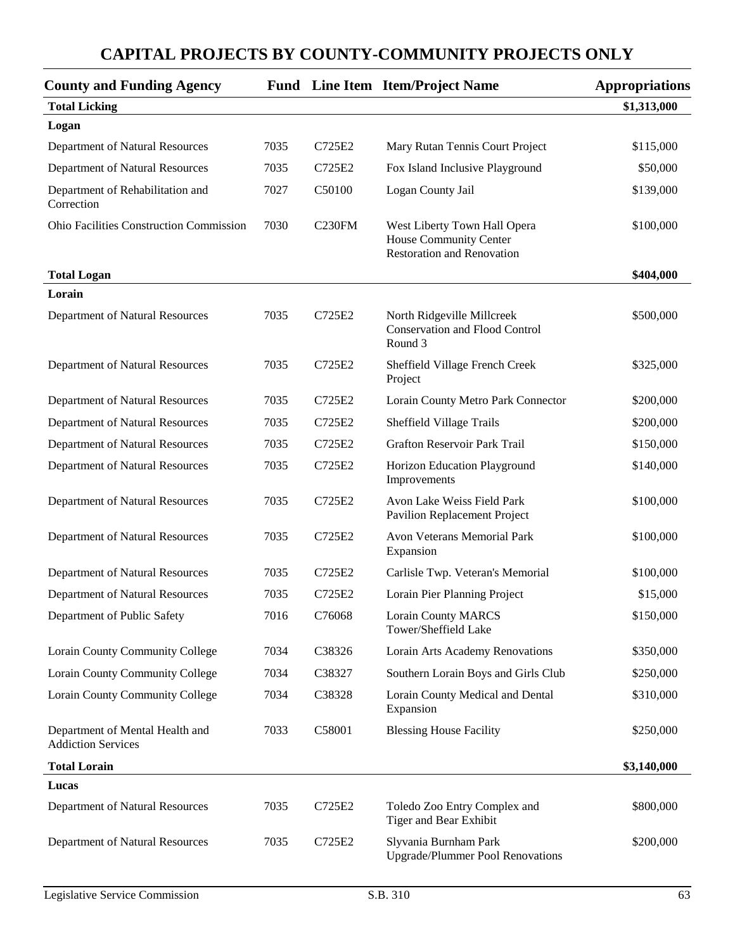| <b>County and Funding Agency</b>                             |      |        | <b>Fund</b> Line Item Item/Project Name                                                     | <b>Appropriations</b> |
|--------------------------------------------------------------|------|--------|---------------------------------------------------------------------------------------------|-----------------------|
| <b>Total Licking</b>                                         |      |        |                                                                                             | \$1,313,000           |
| Logan                                                        |      |        |                                                                                             |                       |
| Department of Natural Resources                              | 7035 | C725E2 | Mary Rutan Tennis Court Project                                                             | \$115,000             |
| Department of Natural Resources                              | 7035 | C725E2 | Fox Island Inclusive Playground                                                             | \$50,000              |
| Department of Rehabilitation and<br>Correction               | 7027 | C50100 | Logan County Jail                                                                           | \$139,000             |
| <b>Ohio Facilities Construction Commission</b>               | 7030 | C230FM | West Liberty Town Hall Opera<br>House Community Center<br><b>Restoration and Renovation</b> | \$100,000             |
| <b>Total Logan</b>                                           |      |        |                                                                                             | \$404,000             |
| Lorain                                                       |      |        |                                                                                             |                       |
| Department of Natural Resources                              | 7035 | C725E2 | North Ridgeville Millcreek<br><b>Conservation and Flood Control</b><br>Round 3              | \$500,000             |
| Department of Natural Resources                              | 7035 | C725E2 | Sheffield Village French Creek<br>Project                                                   | \$325,000             |
| Department of Natural Resources                              | 7035 | C725E2 | Lorain County Metro Park Connector                                                          | \$200,000             |
| Department of Natural Resources                              | 7035 | C725E2 | Sheffield Village Trails                                                                    | \$200,000             |
| Department of Natural Resources                              | 7035 | C725E2 | Grafton Reservoir Park Trail                                                                | \$150,000             |
| Department of Natural Resources                              | 7035 | C725E2 | Horizon Education Playground<br>Improvements                                                | \$140,000             |
| Department of Natural Resources                              | 7035 | C725E2 | Avon Lake Weiss Field Park<br>Pavilion Replacement Project                                  | \$100,000             |
| Department of Natural Resources                              | 7035 | C725E2 | Avon Veterans Memorial Park<br>Expansion                                                    | \$100,000             |
| Department of Natural Resources                              | 7035 | C725E2 | Carlisle Twp. Veteran's Memorial                                                            | \$100,000             |
| Department of Natural Resources                              | 7035 | C725E2 | Lorain Pier Planning Project                                                                | \$15,000              |
| Department of Public Safety                                  | 7016 | C76068 | <b>Lorain County MARCS</b><br>Tower/Sheffield Lake                                          | \$150,000             |
| Lorain County Community College                              | 7034 | C38326 | Lorain Arts Academy Renovations                                                             | \$350,000             |
| Lorain County Community College                              | 7034 | C38327 | Southern Lorain Boys and Girls Club                                                         | \$250,000             |
| Lorain County Community College                              | 7034 | C38328 | Lorain County Medical and Dental<br>Expansion                                               | \$310,000             |
| Department of Mental Health and<br><b>Addiction Services</b> | 7033 | C58001 | <b>Blessing House Facility</b>                                                              | \$250,000             |
| <b>Total Lorain</b>                                          |      |        |                                                                                             | \$3,140,000           |
| Lucas                                                        |      |        |                                                                                             |                       |
| Department of Natural Resources                              | 7035 | C725E2 | Toledo Zoo Entry Complex and<br>Tiger and Bear Exhibit                                      | \$800,000             |
| Department of Natural Resources                              | 7035 | C725E2 | Slyvania Burnham Park<br><b>Upgrade/Plummer Pool Renovations</b>                            | \$200,000             |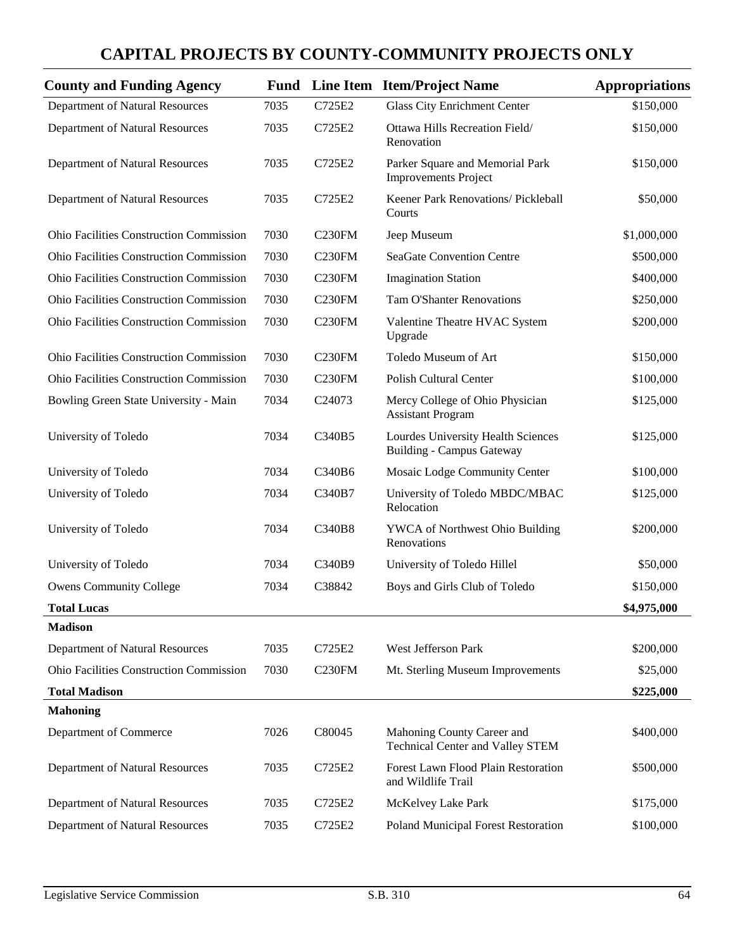| <b>County and Funding Agency</b>               | Fund |                    | Line Item Item/Project Name                                            | <b>Appropriations</b> |
|------------------------------------------------|------|--------------------|------------------------------------------------------------------------|-----------------------|
| Department of Natural Resources                | 7035 | C725E2             | <b>Glass City Enrichment Center</b>                                    | \$150,000             |
| Department of Natural Resources                | 7035 | C725E2             | Ottawa Hills Recreation Field/<br>Renovation                           | \$150,000             |
| Department of Natural Resources                | 7035 | C725E2             | Parker Square and Memorial Park<br><b>Improvements Project</b>         | \$150,000             |
| Department of Natural Resources                | 7035 | C725E2             | Keener Park Renovations/ Pickleball<br>Courts                          | \$50,000              |
| <b>Ohio Facilities Construction Commission</b> | 7030 | C230FM             | Jeep Museum                                                            | \$1,000,000           |
| Ohio Facilities Construction Commission        | 7030 | C <sub>230FM</sub> | <b>SeaGate Convention Centre</b>                                       | \$500,000             |
| Ohio Facilities Construction Commission        | 7030 | C <sub>230FM</sub> | <b>Imagination Station</b>                                             | \$400,000             |
| Ohio Facilities Construction Commission        | 7030 | C <sub>230FM</sub> | <b>Tam O'Shanter Renovations</b>                                       | \$250,000             |
| Ohio Facilities Construction Commission        | 7030 | C <sub>230FM</sub> | Valentine Theatre HVAC System<br>Upgrade                               | \$200,000             |
| Ohio Facilities Construction Commission        | 7030 | C <sub>230FM</sub> | Toledo Museum of Art                                                   | \$150,000             |
| Ohio Facilities Construction Commission        | 7030 | <b>C230FM</b>      | <b>Polish Cultural Center</b>                                          | \$100,000             |
| Bowling Green State University - Main          | 7034 | C24073             | Mercy College of Ohio Physician<br><b>Assistant Program</b>            | \$125,000             |
| University of Toledo                           | 7034 | C340B5             | Lourdes University Health Sciences<br><b>Building - Campus Gateway</b> | \$125,000             |
| University of Toledo                           | 7034 | C340B6             | Mosaic Lodge Community Center                                          | \$100,000             |
| University of Toledo                           | 7034 | C340B7             | University of Toledo MBDC/MBAC<br>Relocation                           | \$125,000             |
| University of Toledo                           | 7034 | C340B8             | YWCA of Northwest Ohio Building<br>Renovations                         | \$200,000             |
| University of Toledo                           | 7034 | C340B9             | University of Toledo Hillel                                            | \$50,000              |
| <b>Owens Community College</b>                 | 7034 | C38842             | Boys and Girls Club of Toledo                                          | \$150,000             |
| <b>Total Lucas</b>                             |      |                    |                                                                        | \$4,975,000           |
| <b>Madison</b>                                 |      |                    |                                                                        |                       |
| Department of Natural Resources                | 7035 | C725E2             | West Jefferson Park                                                    | \$200,000             |
| Ohio Facilities Construction Commission        | 7030 | C <sub>230FM</sub> | Mt. Sterling Museum Improvements                                       | \$25,000              |
| <b>Total Madison</b>                           |      |                    |                                                                        | \$225,000             |
| <b>Mahoning</b>                                |      |                    |                                                                        |                       |
| Department of Commerce                         | 7026 | C80045             | Mahoning County Career and<br><b>Technical Center and Valley STEM</b>  | \$400,000             |
| Department of Natural Resources                | 7035 | C725E2             | Forest Lawn Flood Plain Restoration<br>and Wildlife Trail              | \$500,000             |
| Department of Natural Resources                | 7035 | C725E2             | McKelvey Lake Park                                                     | \$175,000             |
| Department of Natural Resources                | 7035 | C725E2             | Poland Municipal Forest Restoration                                    | \$100,000             |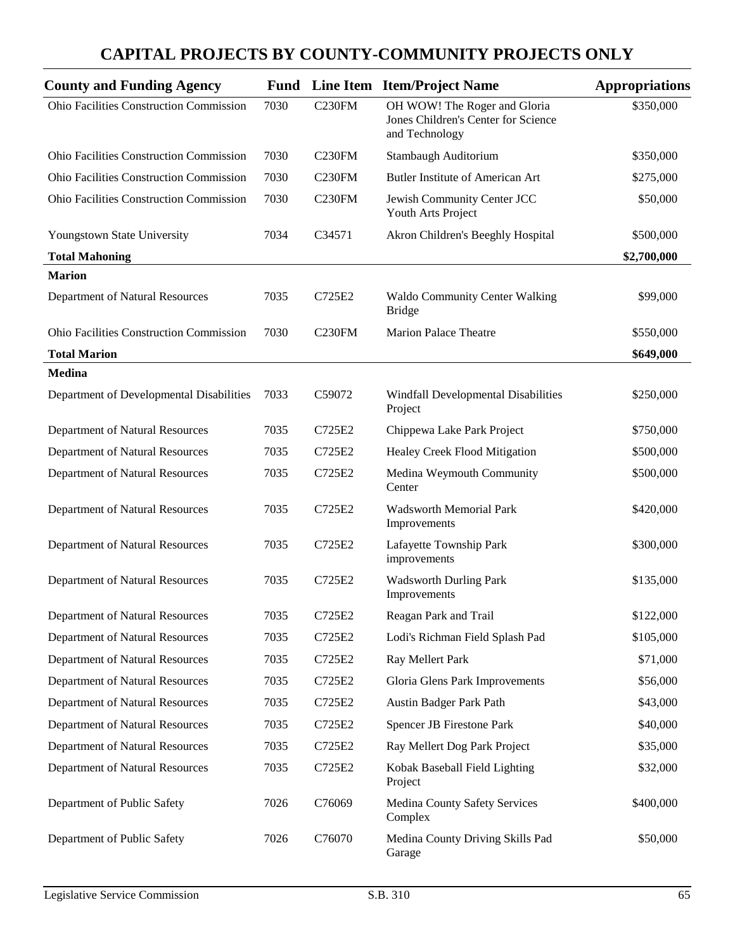| <b>County and Funding Agency</b>               |      |                    | <b>Fund</b> Line Item Item/Project Name                                               | <b>Appropriations</b> |
|------------------------------------------------|------|--------------------|---------------------------------------------------------------------------------------|-----------------------|
| Ohio Facilities Construction Commission        | 7030 | <b>C230FM</b>      | OH WOW! The Roger and Gloria<br>Jones Children's Center for Science<br>and Technology | \$350,000             |
| <b>Ohio Facilities Construction Commission</b> | 7030 | C <sub>230FM</sub> | Stambaugh Auditorium                                                                  | \$350,000             |
| Ohio Facilities Construction Commission        | 7030 | C <sub>230FM</sub> | Butler Institute of American Art                                                      | \$275,000             |
| Ohio Facilities Construction Commission        | 7030 | <b>C230FM</b>      | Jewish Community Center JCC<br>Youth Arts Project                                     | \$50,000              |
| Youngstown State University                    | 7034 | C34571             | Akron Children's Beeghly Hospital                                                     | \$500,000             |
| <b>Total Mahoning</b>                          |      |                    |                                                                                       | \$2,700,000           |
| <b>Marion</b>                                  |      |                    |                                                                                       |                       |
| Department of Natural Resources                | 7035 | C725E2             | <b>Waldo Community Center Walking</b><br><b>Bridge</b>                                | \$99,000              |
| <b>Ohio Facilities Construction Commission</b> | 7030 | C <sub>230FM</sub> | <b>Marion Palace Theatre</b>                                                          | \$550,000             |
| <b>Total Marion</b>                            |      |                    |                                                                                       | \$649,000             |
| Medina                                         |      |                    |                                                                                       |                       |
| Department of Developmental Disabilities       | 7033 | C59072             | Windfall Developmental Disabilities<br>Project                                        | \$250,000             |
| Department of Natural Resources                | 7035 | C725E2             | Chippewa Lake Park Project                                                            | \$750,000             |
| Department of Natural Resources                | 7035 | C725E2             | Healey Creek Flood Mitigation                                                         | \$500,000             |
| Department of Natural Resources                | 7035 | C725E2             | Medina Weymouth Community<br>Center                                                   | \$500,000             |
| Department of Natural Resources                | 7035 | C725E2             | Wadsworth Memorial Park<br>Improvements                                               | \$420,000             |
| Department of Natural Resources                | 7035 | C725E2             | Lafayette Township Park<br>improvements                                               | \$300,000             |
| Department of Natural Resources                | 7035 | C725E2             | <b>Wadsworth Durling Park</b><br>Improvements                                         | \$135,000             |
| Department of Natural Resources                | 7035 | C725E2             | Reagan Park and Trail                                                                 | \$122,000             |
| Department of Natural Resources                | 7035 | C725E2             | Lodi's Richman Field Splash Pad                                                       | \$105,000             |
| Department of Natural Resources                | 7035 | C725E2             | Ray Mellert Park                                                                      | \$71,000              |
| Department of Natural Resources                | 7035 | C725E2             | Gloria Glens Park Improvements                                                        | \$56,000              |
| Department of Natural Resources                | 7035 | C725E2             | Austin Badger Park Path                                                               | \$43,000              |
| Department of Natural Resources                | 7035 | C725E2             | <b>Spencer JB Firestone Park</b>                                                      | \$40,000              |
| Department of Natural Resources                | 7035 | C725E2             | Ray Mellert Dog Park Project                                                          | \$35,000              |
| Department of Natural Resources                | 7035 | C725E2             | Kobak Baseball Field Lighting<br>Project                                              | \$32,000              |
| Department of Public Safety                    | 7026 | C76069             | Medina County Safety Services<br>Complex                                              | \$400,000             |
| Department of Public Safety                    | 7026 | C76070             | Medina County Driving Skills Pad<br>Garage                                            | \$50,000              |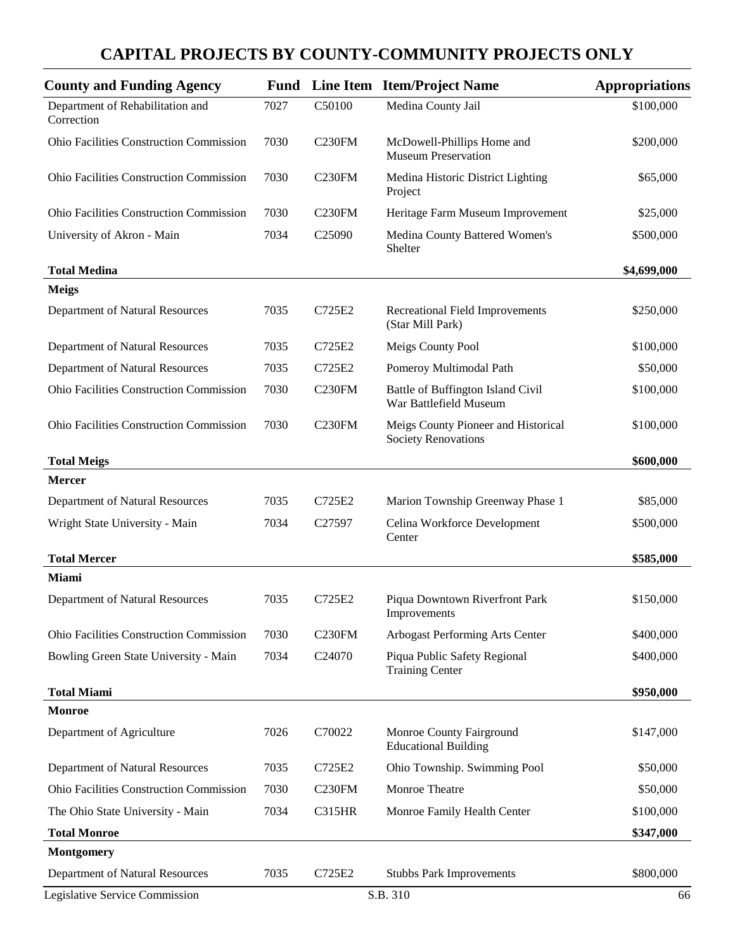| <b>County and Funding Agency</b>               |      |                    | <b>Fund</b> Line Item Item/Project Name                           | <b>Appropriations</b> |
|------------------------------------------------|------|--------------------|-------------------------------------------------------------------|-----------------------|
| Department of Rehabilitation and<br>Correction | 7027 | C50100             | Medina County Jail                                                | \$100,000             |
| <b>Ohio Facilities Construction Commission</b> | 7030 | C <sub>230FM</sub> | McDowell-Phillips Home and<br><b>Museum Preservation</b>          | \$200,000             |
| <b>Ohio Facilities Construction Commission</b> | 7030 | C <sub>230FM</sub> | Medina Historic District Lighting<br>Project                      | \$65,000              |
| Ohio Facilities Construction Commission        | 7030 | C <sub>230FM</sub> | Heritage Farm Museum Improvement                                  | \$25,000              |
| University of Akron - Main                     | 7034 | C <sub>25090</sub> | Medina County Battered Women's<br>Shelter                         | \$500,000             |
| <b>Total Medina</b>                            |      |                    |                                                                   | \$4,699,000           |
| <b>Meigs</b>                                   |      |                    |                                                                   |                       |
| Department of Natural Resources                | 7035 | C725E2             | <b>Recreational Field Improvements</b><br>(Star Mill Park)        | \$250,000             |
| Department of Natural Resources                | 7035 | C725E2             | Meigs County Pool                                                 | \$100,000             |
| Department of Natural Resources                | 7035 | C725E2             | Pomeroy Multimodal Path                                           | \$50,000              |
| <b>Ohio Facilities Construction Commission</b> | 7030 | C <sub>230FM</sub> | Battle of Buffington Island Civil<br>War Battlefield Museum       | \$100,000             |
| <b>Ohio Facilities Construction Commission</b> | 7030 | C <sub>230FM</sub> | Meigs County Pioneer and Historical<br><b>Society Renovations</b> | \$100,000             |
| <b>Total Meigs</b>                             |      |                    |                                                                   | \$600,000             |
| <b>Mercer</b>                                  |      |                    |                                                                   |                       |
| Department of Natural Resources                | 7035 | C725E2             | Marion Township Greenway Phase 1                                  | \$85,000              |
| Wright State University - Main                 | 7034 | C <sub>27597</sub> | Celina Workforce Development<br>Center                            | \$500,000             |
| <b>Total Mercer</b>                            |      |                    |                                                                   | \$585,000             |
| <b>Miami</b>                                   |      |                    |                                                                   |                       |
| Department of Natural Resources                | 7035 | C725E2             | Piqua Downtown Riverfront Park<br>Improvements                    | \$150,000             |
| <b>Ohio Facilities Construction Commission</b> | 7030 | C <sub>230FM</sub> | Arbogast Performing Arts Center                                   | \$400,000             |
| Bowling Green State University - Main          | 7034 | C24070             | Piqua Public Safety Regional<br><b>Training Center</b>            | \$400,000             |
| <b>Total Miami</b>                             |      |                    |                                                                   | \$950,000             |
| <b>Monroe</b>                                  |      |                    |                                                                   |                       |
| Department of Agriculture                      | 7026 | C70022             | Monroe County Fairground<br><b>Educational Building</b>           | \$147,000             |
| Department of Natural Resources                | 7035 | C725E2             | Ohio Township. Swimming Pool                                      | \$50,000              |
| <b>Ohio Facilities Construction Commission</b> | 7030 | C <sub>230FM</sub> | Monroe Theatre                                                    | \$50,000              |
| The Ohio State University - Main               | 7034 | <b>C315HR</b>      | Monroe Family Health Center                                       | \$100,000             |
| <b>Total Monroe</b>                            |      |                    |                                                                   | \$347,000             |
| <b>Montgomery</b>                              |      |                    |                                                                   |                       |
| Department of Natural Resources                | 7035 | C725E2             | <b>Stubbs Park Improvements</b>                                   | \$800,000             |
| Legislative Service Commission                 |      |                    | S.B. 310                                                          | 66                    |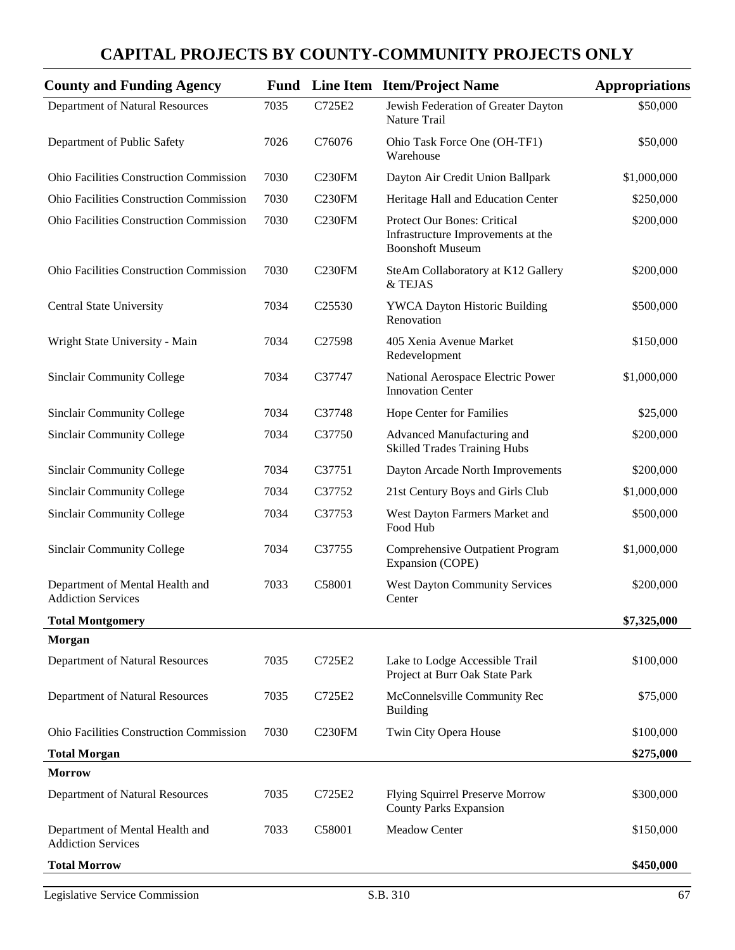| <b>County and Funding Agency</b>                             |      |                    | <b>Fund</b> Line Item Item/Project Name                                                      | <b>Appropriations</b> |
|--------------------------------------------------------------|------|--------------------|----------------------------------------------------------------------------------------------|-----------------------|
| Department of Natural Resources                              | 7035 | C725E2             | Jewish Federation of Greater Dayton<br>Nature Trail                                          | \$50,000              |
| Department of Public Safety                                  | 7026 | C76076             | Ohio Task Force One (OH-TF1)<br>Warehouse                                                    | \$50,000              |
| Ohio Facilities Construction Commission                      | 7030 | C <sub>230FM</sub> | Dayton Air Credit Union Ballpark                                                             | \$1,000,000           |
| Ohio Facilities Construction Commission                      | 7030 | C <sub>230FM</sub> | Heritage Hall and Education Center                                                           | \$250,000             |
| <b>Ohio Facilities Construction Commission</b>               | 7030 | C <sub>230FM</sub> | Protect Our Bones: Critical<br>Infrastructure Improvements at the<br><b>Boonshoft Museum</b> | \$200,000             |
| Ohio Facilities Construction Commission                      | 7030 | C <sub>230FM</sub> | SteAm Collaboratory at K12 Gallery<br>& TEJAS                                                | \$200,000             |
| Central State University                                     | 7034 | C25530             | <b>YWCA Dayton Historic Building</b><br>Renovation                                           | \$500,000             |
| Wright State University - Main                               | 7034 | C27598             | 405 Xenia Avenue Market<br>Redevelopment                                                     | \$150,000             |
| <b>Sinclair Community College</b>                            | 7034 | C37747             | National Aerospace Electric Power<br><b>Innovation Center</b>                                | \$1,000,000           |
| <b>Sinclair Community College</b>                            | 7034 | C37748             | Hope Center for Families                                                                     | \$25,000              |
| <b>Sinclair Community College</b>                            | 7034 | C37750             | Advanced Manufacturing and<br><b>Skilled Trades Training Hubs</b>                            | \$200,000             |
| <b>Sinclair Community College</b>                            | 7034 | C37751             | Dayton Arcade North Improvements                                                             | \$200,000             |
| <b>Sinclair Community College</b>                            | 7034 | C37752             | 21st Century Boys and Girls Club                                                             | \$1,000,000           |
| <b>Sinclair Community College</b>                            | 7034 | C37753             | West Dayton Farmers Market and<br>Food Hub                                                   | \$500,000             |
| <b>Sinclair Community College</b>                            | 7034 | C37755             | <b>Comprehensive Outpatient Program</b><br>Expansion (COPE)                                  | \$1,000,000           |
| Department of Mental Health and<br><b>Addiction Services</b> | 7033 | C58001             | <b>West Dayton Community Services</b><br>Center                                              | \$200,000             |
| <b>Total Montgomery</b>                                      |      |                    |                                                                                              | \$7,325,000           |
| <b>Morgan</b>                                                |      |                    |                                                                                              |                       |
| Department of Natural Resources                              | 7035 | C725E2             | Lake to Lodge Accessible Trail<br>Project at Burr Oak State Park                             | \$100,000             |
| Department of Natural Resources                              | 7035 | C725E2             | McConnelsville Community Rec<br><b>Building</b>                                              | \$75,000              |
| <b>Ohio Facilities Construction Commission</b>               | 7030 | C <sub>230FM</sub> | Twin City Opera House                                                                        | \$100,000             |
| <b>Total Morgan</b>                                          |      |                    |                                                                                              | \$275,000             |
| <b>Morrow</b>                                                |      |                    |                                                                                              |                       |
| Department of Natural Resources                              | 7035 | C725E2             | <b>Flying Squirrel Preserve Morrow</b><br><b>County Parks Expansion</b>                      | \$300,000             |
| Department of Mental Health and<br><b>Addiction Services</b> | 7033 | C58001             | <b>Meadow Center</b>                                                                         | \$150,000             |
| <b>Total Morrow</b>                                          |      |                    |                                                                                              | \$450,000             |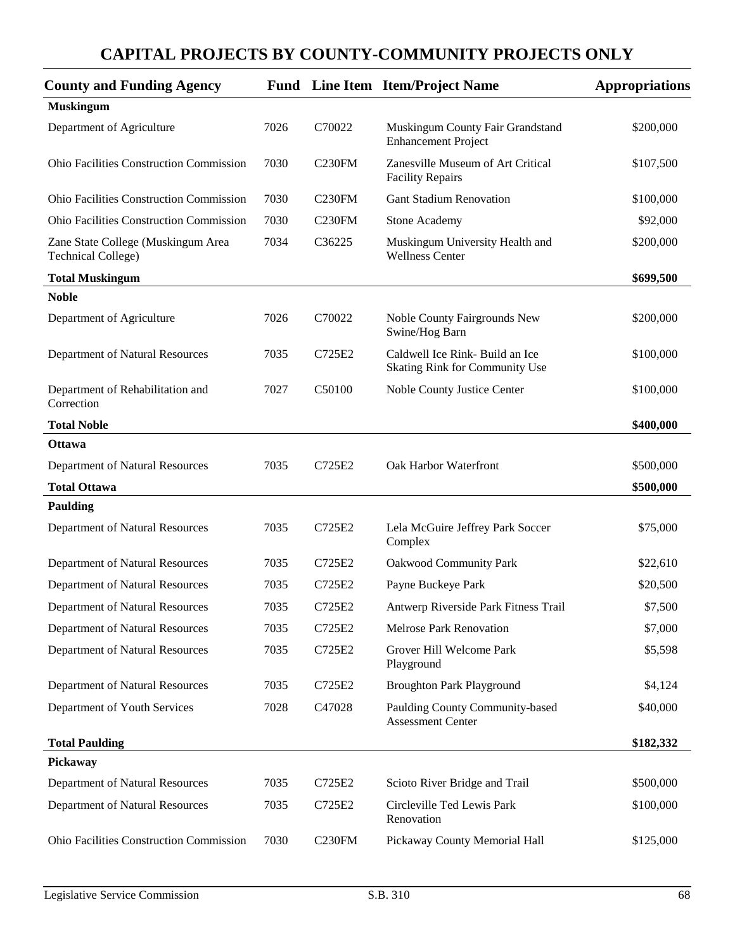| <b>County and Funding Agency</b>                                |      |                     | Fund Line Item Item/Project Name                                  | <b>Appropriations</b> |
|-----------------------------------------------------------------|------|---------------------|-------------------------------------------------------------------|-----------------------|
| <b>Muskingum</b>                                                |      |                     |                                                                   |                       |
| Department of Agriculture                                       | 7026 | C70022              | Muskingum County Fair Grandstand<br><b>Enhancement Project</b>    | \$200,000             |
| <b>Ohio Facilities Construction Commission</b>                  | 7030 | C <sub>230FM</sub>  | Zanesville Museum of Art Critical<br><b>Facility Repairs</b>      | \$107,500             |
| <b>Ohio Facilities Construction Commission</b>                  | 7030 | <b>C230FM</b>       | <b>Gant Stadium Renovation</b>                                    | \$100,000             |
| <b>Ohio Facilities Construction Commission</b>                  | 7030 | C <sub>230FM</sub>  | <b>Stone Academy</b>                                              | \$92,000              |
| Zane State College (Muskingum Area<br><b>Technical College)</b> | 7034 | C36225              | Muskingum University Health and<br><b>Wellness Center</b>         | \$200,000             |
| <b>Total Muskingum</b>                                          |      |                     |                                                                   | \$699,500             |
| <b>Noble</b>                                                    |      |                     |                                                                   |                       |
| Department of Agriculture                                       | 7026 | C70022              | Noble County Fairgrounds New<br>Swine/Hog Barn                    | \$200,000             |
| Department of Natural Resources                                 | 7035 | C725E2              | Caldwell Ice Rink- Build an Ice<br>Skating Rink for Community Use | \$100,000             |
| Department of Rehabilitation and<br>Correction                  | 7027 | C50100              | Noble County Justice Center                                       | \$100,000             |
| <b>Total Noble</b>                                              |      |                     |                                                                   | \$400,000             |
| <b>Ottawa</b>                                                   |      |                     |                                                                   |                       |
| Department of Natural Resources                                 | 7035 | C725E2              | Oak Harbor Waterfront                                             | \$500,000             |
| <b>Total Ottawa</b>                                             |      |                     |                                                                   | \$500,000             |
| <b>Paulding</b>                                                 |      |                     |                                                                   |                       |
| Department of Natural Resources                                 | 7035 | C725E2              | Lela McGuire Jeffrey Park Soccer<br>Complex                       | \$75,000              |
| Department of Natural Resources                                 | 7035 | C725E2              | <b>Oakwood Community Park</b>                                     | \$22,610              |
| Department of Natural Resources                                 | 7035 | C725E2              | Payne Buckeye Park                                                | \$20,500              |
| Department of Natural Resources                                 | 7035 | C725E2              | Antwerp Riverside Park Fitness Trail                              | \$7,500               |
| Department of Natural Resources                                 | 7035 | C725E2              | Melrose Park Renovation                                           | \$7,000               |
| Department of Natural Resources                                 | 7035 | C725E2              | Grover Hill Welcome Park<br>Playground                            | \$5,598               |
| Department of Natural Resources                                 | 7035 | C725E2              | <b>Broughton Park Playground</b>                                  | \$4,124               |
| Department of Youth Services                                    | 7028 | C47028              | Paulding County Community-based<br><b>Assessment Center</b>       | \$40,000              |
| <b>Total Paulding</b>                                           |      |                     |                                                                   | \$182,332             |
| Pickaway                                                        |      |                     |                                                                   |                       |
| Department of Natural Resources                                 | 7035 | C725E2              | Scioto River Bridge and Trail                                     | \$500,000             |
| Department of Natural Resources                                 | 7035 | C725E2              | Circleville Ted Lewis Park<br>Renovation                          | \$100,000             |
| Ohio Facilities Construction Commission                         | 7030 | C <sub>230</sub> FM | Pickaway County Memorial Hall                                     | \$125,000             |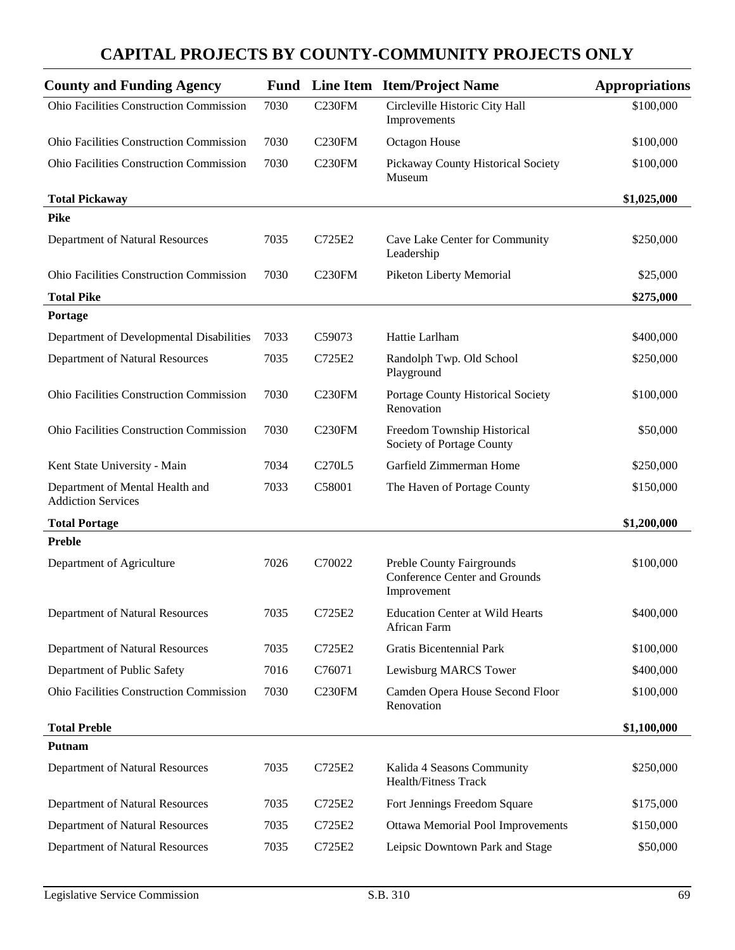| <b>County and Funding Agency</b>                             | <b>Fund</b> |                                 | Line Item Item/Project Name                                               | <b>Appropriations</b> |
|--------------------------------------------------------------|-------------|---------------------------------|---------------------------------------------------------------------------|-----------------------|
| Ohio Facilities Construction Commission                      | 7030        | C <sub>230FM</sub>              | Circleville Historic City Hall<br>Improvements                            | \$100,000             |
| <b>Ohio Facilities Construction Commission</b>               | 7030        | C <sub>230</sub> FM             | Octagon House                                                             | \$100,000             |
| <b>Ohio Facilities Construction Commission</b>               | 7030        | C <sub>230FM</sub>              | Pickaway County Historical Society<br>Museum                              | \$100,000             |
| <b>Total Pickaway</b>                                        |             |                                 |                                                                           | \$1,025,000           |
| <b>Pike</b>                                                  |             |                                 |                                                                           |                       |
| Department of Natural Resources                              | 7035        | C725E2                          | Cave Lake Center for Community<br>Leadership                              | \$250,000             |
| Ohio Facilities Construction Commission                      | 7030        | C <sub>230FM</sub>              | Piketon Liberty Memorial                                                  | \$25,000              |
| <b>Total Pike</b>                                            |             |                                 |                                                                           | \$275,000             |
| Portage                                                      |             |                                 |                                                                           |                       |
| Department of Developmental Disabilities                     | 7033        | C59073                          | Hattie Larlham                                                            | \$400,000             |
| Department of Natural Resources                              | 7035        | C725E2                          | Randolph Twp. Old School<br>Playground                                    | \$250,000             |
| <b>Ohio Facilities Construction Commission</b>               | 7030        | C <sub>230FM</sub>              | Portage County Historical Society<br>Renovation                           | \$100,000             |
| Ohio Facilities Construction Commission                      | 7030        | C <sub>230FM</sub>              | Freedom Township Historical<br>Society of Portage County                  | \$50,000              |
| Kent State University - Main                                 | 7034        | C <sub>270</sub> L <sub>5</sub> | Garfield Zimmerman Home                                                   | \$250,000             |
| Department of Mental Health and<br><b>Addiction Services</b> | 7033        | C58001                          | The Haven of Portage County                                               | \$150,000             |
| <b>Total Portage</b>                                         |             |                                 |                                                                           | \$1,200,000           |
| <b>Preble</b>                                                |             |                                 |                                                                           |                       |
| Department of Agriculture                                    | 7026        | C70022                          | Preble County Fairgrounds<br>Conference Center and Grounds<br>Improvement | \$100,000             |
| Department of Natural Resources                              | 7035        | C725E2                          | <b>Education Center at Wild Hearts</b><br>African Farm                    | \$400,000             |
| Department of Natural Resources                              | 7035        | C725E2                          | Gratis Bicentennial Park                                                  | \$100,000             |
| Department of Public Safety                                  | 7016        | C76071                          | Lewisburg MARCS Tower                                                     | \$400,000             |
| Ohio Facilities Construction Commission                      | 7030        | C <sub>230FM</sub>              | Camden Opera House Second Floor<br>Renovation                             | \$100,000             |
| <b>Total Preble</b>                                          |             |                                 |                                                                           | \$1,100,000           |
| <b>Putnam</b>                                                |             |                                 |                                                                           |                       |
| Department of Natural Resources                              | 7035        | C725E2                          | Kalida 4 Seasons Community<br><b>Health/Fitness Track</b>                 | \$250,000             |
| Department of Natural Resources                              | 7035        | C725E2                          | Fort Jennings Freedom Square                                              | \$175,000             |
| Department of Natural Resources                              | 7035        | C725E2                          | Ottawa Memorial Pool Improvements                                         | \$150,000             |
| Department of Natural Resources                              | 7035        | C725E2                          | Leipsic Downtown Park and Stage                                           | \$50,000              |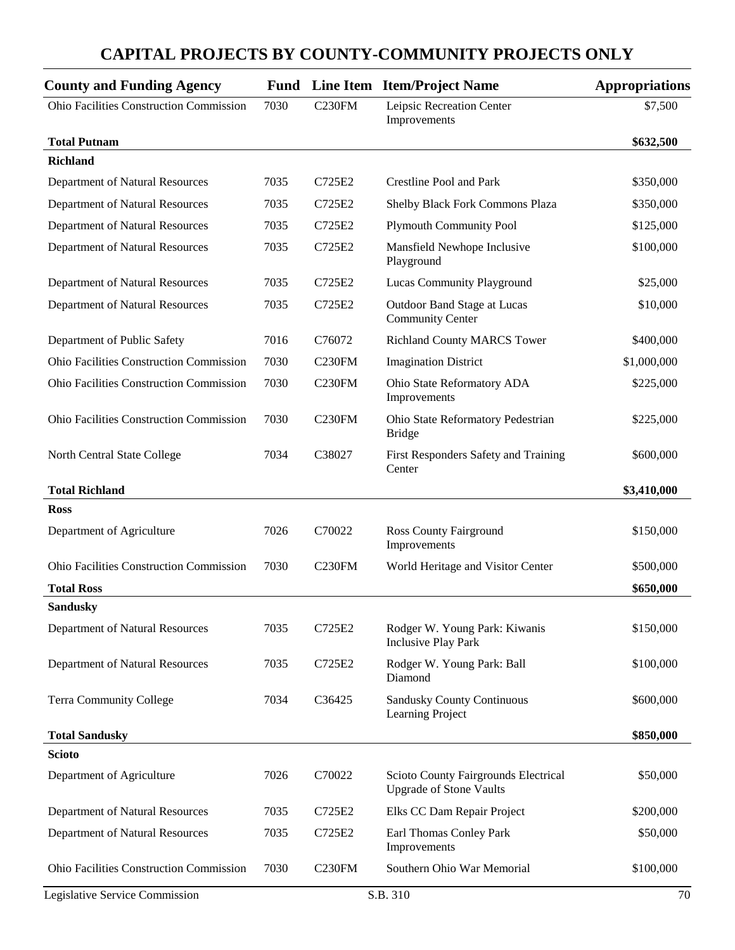| <b>County and Funding Agency</b>               |      |                    | <b>Fund</b> Line Item Item/Project Name                                | <b>Appropriations</b> |
|------------------------------------------------|------|--------------------|------------------------------------------------------------------------|-----------------------|
| <b>Ohio Facilities Construction Commission</b> | 7030 | C <sub>230FM</sub> | Leipsic Recreation Center<br>Improvements                              | \$7,500               |
| <b>Total Putnam</b>                            |      |                    |                                                                        | \$632,500             |
| <b>Richland</b>                                |      |                    |                                                                        |                       |
| Department of Natural Resources                | 7035 | C725E2             | Crestline Pool and Park                                                | \$350,000             |
| Department of Natural Resources                | 7035 | C725E2             | Shelby Black Fork Commons Plaza                                        | \$350,000             |
| Department of Natural Resources                | 7035 | C725E2             | <b>Plymouth Community Pool</b>                                         | \$125,000             |
| Department of Natural Resources                | 7035 | C725E2             | Mansfield Newhope Inclusive<br>Playground                              | \$100,000             |
| Department of Natural Resources                | 7035 | C725E2             | Lucas Community Playground                                             | \$25,000              |
| Department of Natural Resources                | 7035 | C725E2             | Outdoor Band Stage at Lucas<br><b>Community Center</b>                 | \$10,000              |
| Department of Public Safety                    | 7016 | C76072             | <b>Richland County MARCS Tower</b>                                     | \$400,000             |
| <b>Ohio Facilities Construction Commission</b> | 7030 | <b>C230FM</b>      | <b>Imagination District</b>                                            | \$1,000,000           |
| <b>Ohio Facilities Construction Commission</b> | 7030 | <b>C230FM</b>      | Ohio State Reformatory ADA<br>Improvements                             | \$225,000             |
| <b>Ohio Facilities Construction Commission</b> | 7030 | <b>C230FM</b>      | Ohio State Reformatory Pedestrian<br><b>Bridge</b>                     | \$225,000             |
| North Central State College                    | 7034 | C38027             | First Responders Safety and Training<br>Center                         | \$600,000             |
| <b>Total Richland</b>                          |      |                    |                                                                        | \$3,410,000           |
| <b>Ross</b>                                    |      |                    |                                                                        |                       |
| Department of Agriculture                      | 7026 | C70022             | <b>Ross County Fairground</b><br>Improvements                          | \$150,000             |
| <b>Ohio Facilities Construction Commission</b> | 7030 | <b>C230FM</b>      | World Heritage and Visitor Center                                      | \$500,000             |
| <b>Total Ross</b>                              |      |                    |                                                                        | \$650,000             |
| <b>Sandusky</b>                                |      |                    |                                                                        |                       |
| Department of Natural Resources                | 7035 | C725E2             | Rodger W. Young Park: Kiwanis<br><b>Inclusive Play Park</b>            | \$150,000             |
| Department of Natural Resources                | 7035 | C725E2             | Rodger W. Young Park: Ball<br>Diamond                                  | \$100,000             |
| Terra Community College                        | 7034 | C36425             | Sandusky County Continuous<br>Learning Project                         | \$600,000             |
| <b>Total Sandusky</b>                          |      |                    |                                                                        | \$850,000             |
| <b>Scioto</b>                                  |      |                    |                                                                        |                       |
| Department of Agriculture                      | 7026 | C70022             | Scioto County Fairgrounds Electrical<br><b>Upgrade of Stone Vaults</b> | \$50,000              |
| Department of Natural Resources                | 7035 | C725E2             | Elks CC Dam Repair Project                                             | \$200,000             |
| Department of Natural Resources                | 7035 | C725E2             | Earl Thomas Conley Park<br>Improvements                                | \$50,000              |
| <b>Ohio Facilities Construction Commission</b> | 7030 | <b>C230FM</b>      | Southern Ohio War Memorial                                             | \$100,000             |
| Legislative Service Commission                 |      |                    | S.B. 310                                                               | 70                    |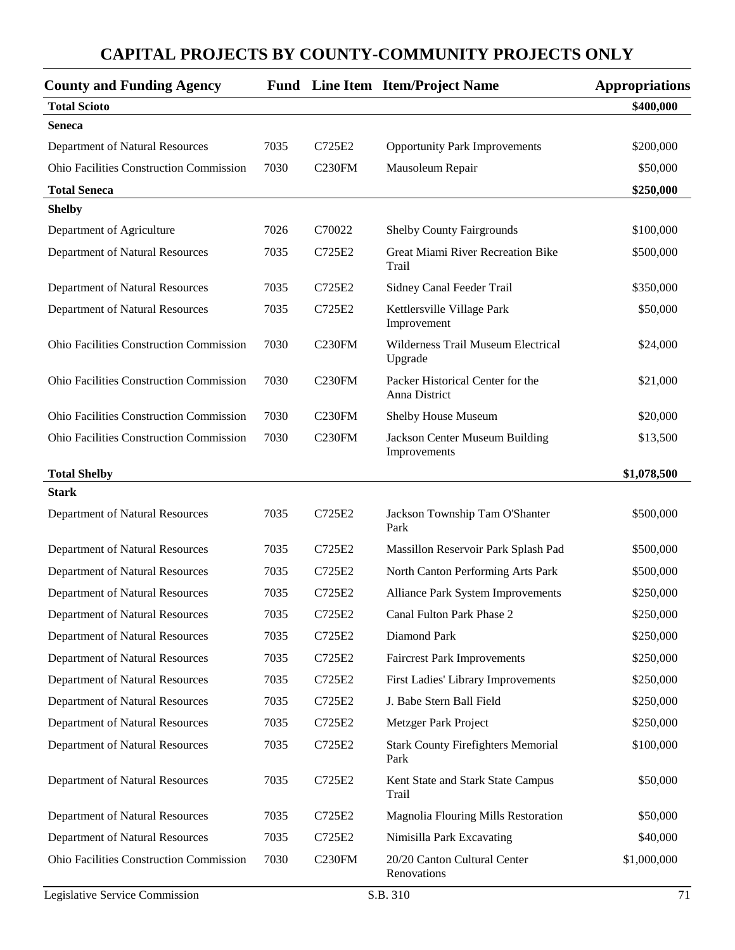| <b>County and Funding Agency</b>               |      |                     | <b>Fund</b> Line Item Item/Project Name           | <b>Appropriations</b> |
|------------------------------------------------|------|---------------------|---------------------------------------------------|-----------------------|
| <b>Total Scioto</b>                            |      |                     |                                                   | \$400,000             |
| <b>Seneca</b>                                  |      |                     |                                                   |                       |
| Department of Natural Resources                | 7035 | C725E2              | <b>Opportunity Park Improvements</b>              | \$200,000             |
| Ohio Facilities Construction Commission        | 7030 | C <sub>230</sub> FM | Mausoleum Repair                                  | \$50,000              |
| <b>Total Seneca</b>                            |      |                     |                                                   | \$250,000             |
| <b>Shelby</b>                                  |      |                     |                                                   |                       |
| Department of Agriculture                      | 7026 | C70022              | <b>Shelby County Fairgrounds</b>                  | \$100,000             |
| Department of Natural Resources                | 7035 | C725E2              | Great Miami River Recreation Bike<br>Trail        | \$500,000             |
| Department of Natural Resources                | 7035 | C725E2              | Sidney Canal Feeder Trail                         | \$350,000             |
| Department of Natural Resources                | 7035 | C725E2              | Kettlersville Village Park<br>Improvement         | \$50,000              |
| <b>Ohio Facilities Construction Commission</b> | 7030 | C <sub>230FM</sub>  | Wilderness Trail Museum Electrical<br>Upgrade     | \$24,000              |
| <b>Ohio Facilities Construction Commission</b> | 7030 | C230FM              | Packer Historical Center for the<br>Anna District | \$21,000              |
| <b>Ohio Facilities Construction Commission</b> | 7030 | C <sub>230FM</sub>  | Shelby House Museum                               | \$20,000              |
| Ohio Facilities Construction Commission        | 7030 | C230FM              | Jackson Center Museum Building<br>Improvements    | \$13,500              |
| <b>Total Shelby</b>                            |      |                     |                                                   | \$1,078,500           |
| <b>Stark</b>                                   |      |                     |                                                   |                       |
| Department of Natural Resources                | 7035 | C725E2              | Jackson Township Tam O'Shanter<br>Park            | \$500,000             |
| Department of Natural Resources                | 7035 | C725E2              | Massillon Reservoir Park Splash Pad               | \$500,000             |
| Department of Natural Resources                | 7035 | C725E2              | North Canton Performing Arts Park                 | \$500,000             |
| Department of Natural Resources                | 7035 | C725E2              | Alliance Park System Improvements                 | \$250,000             |
| Department of Natural Resources                | 7035 | C725E2              | Canal Fulton Park Phase 2                         | \$250,000             |
| Department of Natural Resources                | 7035 | C725E2              | Diamond Park                                      | \$250,000             |
| Department of Natural Resources                | 7035 | C725E2              | <b>Faircrest Park Improvements</b>                | \$250,000             |
| Department of Natural Resources                | 7035 | C725E2              | First Ladies' Library Improvements                | \$250,000             |
| Department of Natural Resources                | 7035 | C725E2              | J. Babe Stern Ball Field                          | \$250,000             |
| Department of Natural Resources                | 7035 | C725E2              | Metzger Park Project                              | \$250,000             |
| Department of Natural Resources                | 7035 | C725E2              | <b>Stark County Firefighters Memorial</b><br>Park | \$100,000             |
| Department of Natural Resources                | 7035 | C725E2              | Kent State and Stark State Campus<br>Trail        | \$50,000              |
| Department of Natural Resources                | 7035 | C725E2              | Magnolia Flouring Mills Restoration               | \$50,000              |
| Department of Natural Resources                | 7035 | C725E2              | Nimisilla Park Excavating                         | \$40,000              |
| Ohio Facilities Construction Commission        | 7030 | C <sub>230FM</sub>  | 20/20 Canton Cultural Center<br>Renovations       | \$1,000,000           |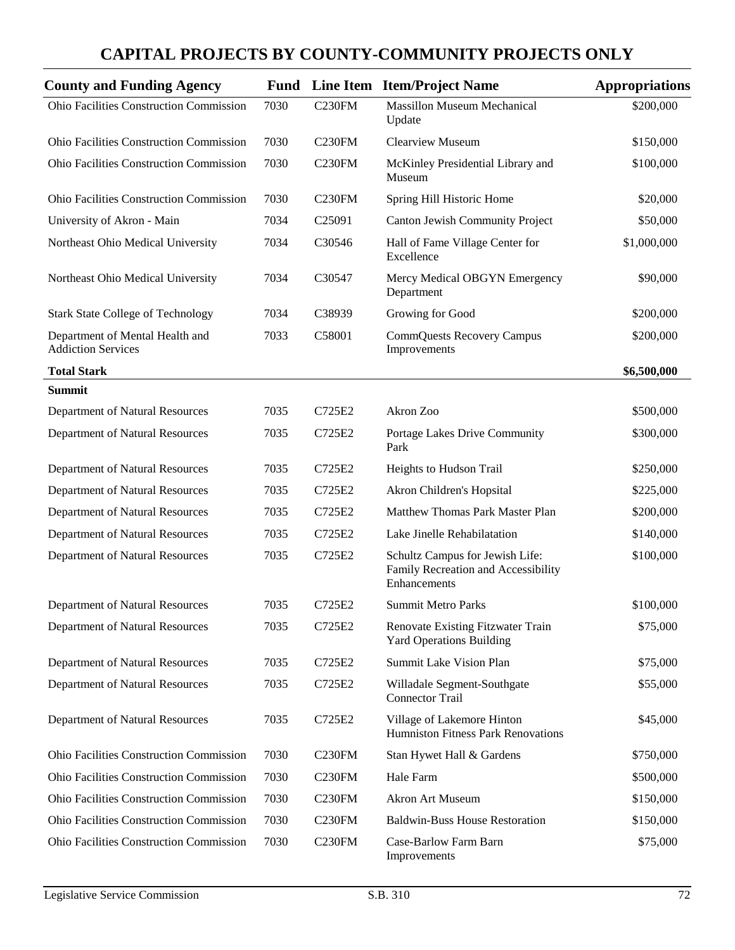| <b>County and Funding Agency</b>                             |      |                    | <b>Fund</b> Line Item Item/Project Name                                                | <b>Appropriations</b> |
|--------------------------------------------------------------|------|--------------------|----------------------------------------------------------------------------------------|-----------------------|
| Ohio Facilities Construction Commission                      | 7030 | C <sub>230FM</sub> | <b>Massillon Museum Mechanical</b><br>Update                                           | \$200,000             |
| <b>Ohio Facilities Construction Commission</b>               | 7030 | C <sub>230FM</sub> | <b>Clearview Museum</b>                                                                | \$150,000             |
| Ohio Facilities Construction Commission                      | 7030 | C <sub>230FM</sub> | McKinley Presidential Library and<br>Museum                                            | \$100,000             |
| <b>Ohio Facilities Construction Commission</b>               | 7030 | C <sub>230FM</sub> | Spring Hill Historic Home                                                              | \$20,000              |
| University of Akron - Main                                   | 7034 | C25091             | <b>Canton Jewish Community Project</b>                                                 | \$50,000              |
| Northeast Ohio Medical University                            | 7034 | C30546             | Hall of Fame Village Center for<br>Excellence                                          | \$1,000,000           |
| Northeast Ohio Medical University                            | 7034 | C30547             | Mercy Medical OBGYN Emergency<br>Department                                            | \$90,000              |
| <b>Stark State College of Technology</b>                     | 7034 | C38939             | Growing for Good                                                                       | \$200,000             |
| Department of Mental Health and<br><b>Addiction Services</b> | 7033 | C58001             | <b>CommQuests Recovery Campus</b><br>Improvements                                      | \$200,000             |
| <b>Total Stark</b>                                           |      |                    |                                                                                        | \$6,500,000           |
| <b>Summit</b>                                                |      |                    |                                                                                        |                       |
| Department of Natural Resources                              | 7035 | C725E2             | Akron Zoo                                                                              | \$500,000             |
| Department of Natural Resources                              | 7035 | C725E2             | Portage Lakes Drive Community<br>Park                                                  | \$300,000             |
| Department of Natural Resources                              | 7035 | C725E2             | Heights to Hudson Trail                                                                | \$250,000             |
| Department of Natural Resources                              | 7035 | C725E2             | Akron Children's Hopsital                                                              | \$225,000             |
| Department of Natural Resources                              | 7035 | C725E2             | Matthew Thomas Park Master Plan                                                        | \$200,000             |
| Department of Natural Resources                              | 7035 | C725E2             | Lake Jinelle Rehabilatation                                                            | \$140,000             |
| Department of Natural Resources                              | 7035 | C725E2             | Schultz Campus for Jewish Life:<br>Family Recreation and Accessibility<br>Enhancements | \$100,000             |
| Department of Natural Resources                              | 7035 | C725E2             | <b>Summit Metro Parks</b>                                                              | \$100,000             |
| Department of Natural Resources                              | 7035 | C725E2             | Renovate Existing Fitzwater Train<br><b>Yard Operations Building</b>                   | \$75,000              |
| Department of Natural Resources                              | 7035 | C725E2             | Summit Lake Vision Plan                                                                | \$75,000              |
| Department of Natural Resources                              | 7035 | C725E2             | Willadale Segment-Southgate<br><b>Connector Trail</b>                                  | \$55,000              |
| Department of Natural Resources                              | 7035 | C725E2             | Village of Lakemore Hinton<br>Humniston Fitness Park Renovations                       | \$45,000              |
| Ohio Facilities Construction Commission                      | 7030 | C <sub>230FM</sub> | Stan Hywet Hall & Gardens                                                              | \$750,000             |
| Ohio Facilities Construction Commission                      | 7030 | C <sub>230FM</sub> | Hale Farm                                                                              | \$500,000             |
| Ohio Facilities Construction Commission                      | 7030 | C <sub>230FM</sub> | Akron Art Museum                                                                       | \$150,000             |
| Ohio Facilities Construction Commission                      | 7030 | C <sub>230FM</sub> | <b>Baldwin-Buss House Restoration</b>                                                  | \$150,000             |
| Ohio Facilities Construction Commission                      | 7030 | C <sub>230FM</sub> | Case-Barlow Farm Barn<br>Improvements                                                  | \$75,000              |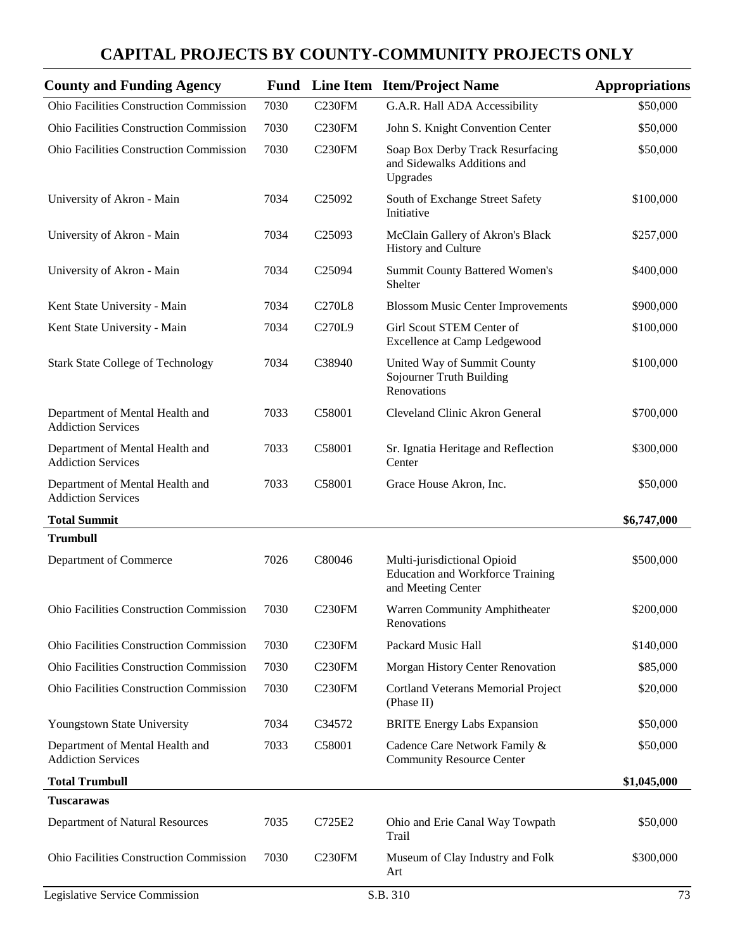| <b>County and Funding Agency</b>                             |      |                    | <b>Fund</b> Line Item Item/Project Name                                                      | <b>Appropriations</b> |
|--------------------------------------------------------------|------|--------------------|----------------------------------------------------------------------------------------------|-----------------------|
| Ohio Facilities Construction Commission                      | 7030 | C <sub>230FM</sub> | G.A.R. Hall ADA Accessibility                                                                | \$50,000              |
| Ohio Facilities Construction Commission                      | 7030 | C <sub>230FM</sub> | John S. Knight Convention Center                                                             | \$50,000              |
| <b>Ohio Facilities Construction Commission</b>               | 7030 | <b>C230FM</b>      | Soap Box Derby Track Resurfacing<br>and Sidewalks Additions and<br>Upgrades                  | \$50,000              |
| University of Akron - Main                                   | 7034 | C <sub>25092</sub> | South of Exchange Street Safety<br>Initiative                                                | \$100,000             |
| University of Akron - Main                                   | 7034 | C <sub>25093</sub> | McClain Gallery of Akron's Black<br>History and Culture                                      | \$257,000             |
| University of Akron - Main                                   | 7034 | C <sub>25094</sub> | Summit County Battered Women's<br>Shelter                                                    | \$400,000             |
| Kent State University - Main                                 | 7034 | <b>C270L8</b>      | <b>Blossom Music Center Improvements</b>                                                     | \$900,000             |
| Kent State University - Main                                 | 7034 | C270L9             | Girl Scout STEM Center of<br><b>Excellence at Camp Ledgewood</b>                             | \$100,000             |
| <b>Stark State College of Technology</b>                     | 7034 | C38940             | United Way of Summit County<br>Sojourner Truth Building<br>Renovations                       | \$100,000             |
| Department of Mental Health and<br><b>Addiction Services</b> | 7033 | C58001             | Cleveland Clinic Akron General                                                               | \$700,000             |
| Department of Mental Health and<br><b>Addiction Services</b> | 7033 | C58001             | Sr. Ignatia Heritage and Reflection<br>Center                                                | \$300,000             |
| Department of Mental Health and<br><b>Addiction Services</b> | 7033 | C58001             | Grace House Akron, Inc.                                                                      | \$50,000              |
| <b>Total Summit</b>                                          |      |                    |                                                                                              | \$6,747,000           |
| <b>Trumbull</b>                                              |      |                    |                                                                                              |                       |
| Department of Commerce                                       | 7026 | C80046             | Multi-jurisdictional Opioid<br><b>Education and Workforce Training</b><br>and Meeting Center | \$500,000             |
| <b>Ohio Facilities Construction Commission</b>               | 7030 | C <sub>230FM</sub> | Warren Community Amphitheater<br>Renovations                                                 | \$200,000             |
| <b>Ohio Facilities Construction Commission</b>               | 7030 | C <sub>230FM</sub> | Packard Music Hall                                                                           | \$140,000             |
| <b>Ohio Facilities Construction Commission</b>               | 7030 | C <sub>230FM</sub> | Morgan History Center Renovation                                                             | \$85,000              |
| Ohio Facilities Construction Commission                      | 7030 | C <sub>230FM</sub> | <b>Cortland Veterans Memorial Project</b><br>(Phase II)                                      | \$20,000              |
| Youngstown State University                                  | 7034 | C34572             | <b>BRITE Energy Labs Expansion</b>                                                           | \$50,000              |
| Department of Mental Health and<br><b>Addiction Services</b> | 7033 | C58001             | Cadence Care Network Family &<br><b>Community Resource Center</b>                            | \$50,000              |
| <b>Total Trumbull</b>                                        |      |                    |                                                                                              | \$1,045,000           |
| <b>Tuscarawas</b>                                            |      |                    |                                                                                              |                       |
| Department of Natural Resources                              | 7035 | C725E2             | Ohio and Erie Canal Way Towpath<br>Trail                                                     | \$50,000              |
| <b>Ohio Facilities Construction Commission</b>               | 7030 | C <sub>230FM</sub> | Museum of Clay Industry and Folk<br>Art                                                      | \$300,000             |
| Legislative Service Commission                               |      |                    | S.B. 310                                                                                     | 73                    |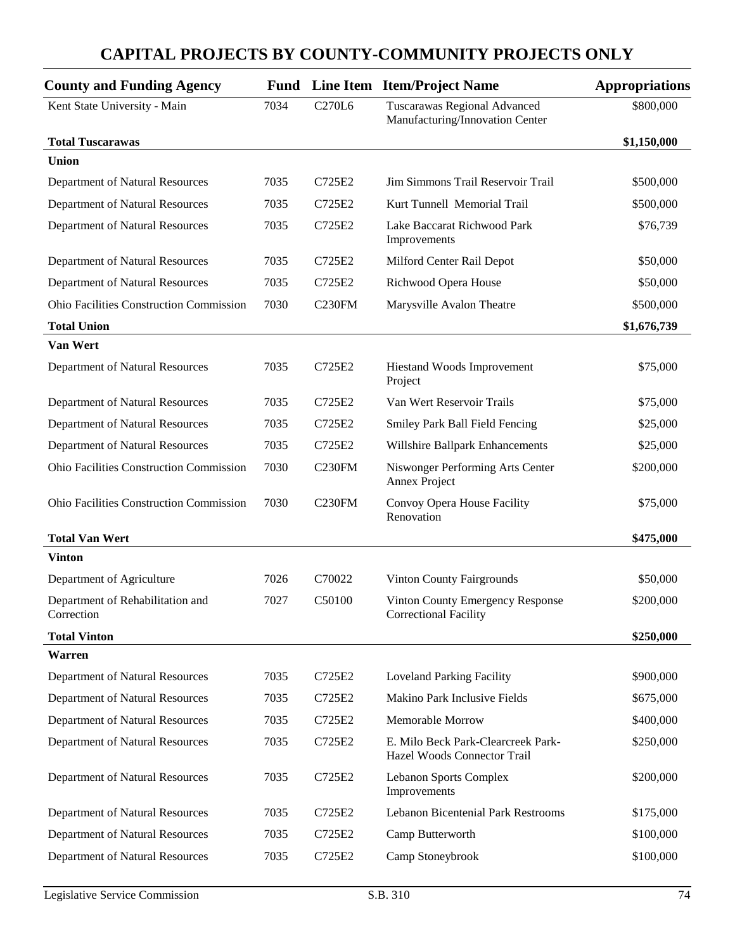| <b>County and Funding Agency</b>               | Fund |                    | Line Item Item/Project Name                                       | <b>Appropriations</b> |
|------------------------------------------------|------|--------------------|-------------------------------------------------------------------|-----------------------|
| Kent State University - Main                   | 7034 | C270L6             | Tuscarawas Regional Advanced<br>Manufacturing/Innovation Center   | \$800,000             |
| <b>Total Tuscarawas</b>                        |      |                    |                                                                   | \$1,150,000           |
| <b>Union</b>                                   |      |                    |                                                                   |                       |
| Department of Natural Resources                | 7035 | C725E2             | Jim Simmons Trail Reservoir Trail                                 | \$500,000             |
| Department of Natural Resources                | 7035 | C725E2             | Kurt Tunnell Memorial Trail                                       | \$500,000             |
| Department of Natural Resources                | 7035 | C725E2             | Lake Baccarat Richwood Park<br>Improvements                       | \$76,739              |
| Department of Natural Resources                | 7035 | C725E2             | Milford Center Rail Depot                                         | \$50,000              |
| Department of Natural Resources                | 7035 | C725E2             | Richwood Opera House                                              | \$50,000              |
| <b>Ohio Facilities Construction Commission</b> | 7030 | C <sub>230FM</sub> | Marysville Avalon Theatre                                         | \$500,000             |
| <b>Total Union</b>                             |      |                    |                                                                   | \$1,676,739           |
| Van Wert                                       |      |                    |                                                                   |                       |
| Department of Natural Resources                | 7035 | C725E2             | Hiestand Woods Improvement<br>Project                             | \$75,000              |
| Department of Natural Resources                | 7035 | C725E2             | Van Wert Reservoir Trails                                         | \$75,000              |
| Department of Natural Resources                | 7035 | C725E2             | Smiley Park Ball Field Fencing                                    | \$25,000              |
| Department of Natural Resources                | 7035 | C725E2             | Willshire Ballpark Enhancements                                   | \$25,000              |
| <b>Ohio Facilities Construction Commission</b> | 7030 | C <sub>230FM</sub> | Niswonger Performing Arts Center<br>Annex Project                 | \$200,000             |
| <b>Ohio Facilities Construction Commission</b> | 7030 | <b>C230FM</b>      | Convoy Opera House Facility<br>Renovation                         | \$75,000              |
| <b>Total Van Wert</b>                          |      |                    |                                                                   | \$475,000             |
| <b>Vinton</b>                                  |      |                    |                                                                   |                       |
| Department of Agriculture                      | 7026 | C70022             | <b>Vinton County Fairgrounds</b>                                  | \$50,000              |
| Department of Rehabilitation and<br>Correction | 7027 | C50100             | Vinton County Emergency Response<br><b>Correctional Facility</b>  | \$200,000             |
| <b>Total Vinton</b>                            |      |                    |                                                                   | \$250,000             |
| <b>Warren</b>                                  |      |                    |                                                                   |                       |
| Department of Natural Resources                | 7035 | C725E2             | <b>Loveland Parking Facility</b>                                  | \$900,000             |
| Department of Natural Resources                | 7035 | C725E2             | Makino Park Inclusive Fields                                      | \$675,000             |
| Department of Natural Resources                | 7035 | C725E2             | Memorable Morrow                                                  | \$400,000             |
| Department of Natural Resources                | 7035 | C725E2             | E. Milo Beck Park-Clearcreek Park-<br>Hazel Woods Connector Trail | \$250,000             |
| Department of Natural Resources                | 7035 | C725E2             | <b>Lebanon Sports Complex</b><br>Improvements                     | \$200,000             |
| Department of Natural Resources                | 7035 | C725E2             | Lebanon Bicentenial Park Restrooms                                | \$175,000             |
| Department of Natural Resources                | 7035 | C725E2             | Camp Butterworth                                                  | \$100,000             |
| Department of Natural Resources                | 7035 | C725E2             | Camp Stoneybrook                                                  | \$100,000             |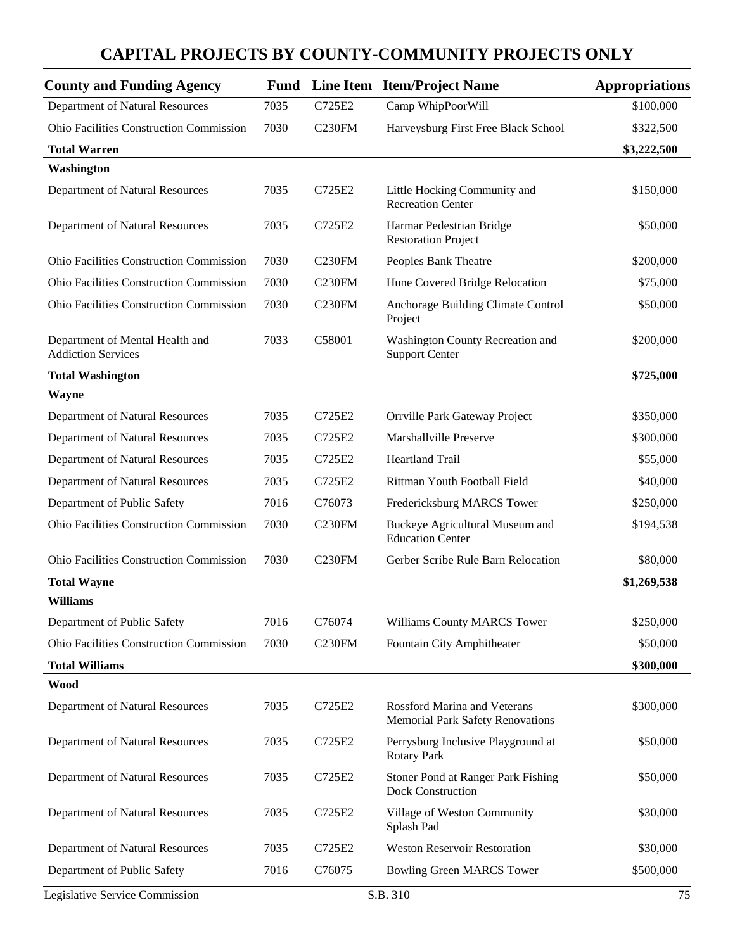| <b>County and Funding Agency</b>                             | <b>Fund</b> |                    | Line Item Item/Project Name                                             | <b>Appropriations</b> |
|--------------------------------------------------------------|-------------|--------------------|-------------------------------------------------------------------------|-----------------------|
| Department of Natural Resources                              | 7035        | C725E2             | Camp WhipPoorWill                                                       | \$100,000             |
| <b>Ohio Facilities Construction Commission</b>               | 7030        | C <sub>230FM</sub> | Harveysburg First Free Black School                                     | \$322,500             |
| <b>Total Warren</b>                                          |             |                    |                                                                         | \$3,222,500           |
| Washington                                                   |             |                    |                                                                         |                       |
| Department of Natural Resources                              | 7035        | C725E2             | Little Hocking Community and<br><b>Recreation Center</b>                | \$150,000             |
| Department of Natural Resources                              | 7035        | C725E2             | Harmar Pedestrian Bridge<br><b>Restoration Project</b>                  | \$50,000              |
| <b>Ohio Facilities Construction Commission</b>               | 7030        | C230FM             | Peoples Bank Theatre                                                    | \$200,000             |
| <b>Ohio Facilities Construction Commission</b>               | 7030        | C <sub>230FM</sub> | Hune Covered Bridge Relocation                                          | \$75,000              |
| <b>Ohio Facilities Construction Commission</b>               | 7030        | C <sub>230FM</sub> | Anchorage Building Climate Control<br>Project                           | \$50,000              |
| Department of Mental Health and<br><b>Addiction Services</b> | 7033        | C58001             | Washington County Recreation and<br><b>Support Center</b>               | \$200,000             |
| <b>Total Washington</b>                                      |             |                    |                                                                         | \$725,000             |
| <b>Wayne</b>                                                 |             |                    |                                                                         |                       |
| Department of Natural Resources                              | 7035        | C725E2             | Orrville Park Gateway Project                                           | \$350,000             |
| Department of Natural Resources                              | 7035        | C725E2             | Marshallville Preserve                                                  | \$300,000             |
| Department of Natural Resources                              | 7035        | C725E2             | <b>Heartland Trail</b>                                                  | \$55,000              |
| Department of Natural Resources                              | 7035        | C725E2             | Rittman Youth Football Field                                            | \$40,000              |
| Department of Public Safety                                  | 7016        | C76073             | Fredericksburg MARCS Tower                                              | \$250,000             |
| <b>Ohio Facilities Construction Commission</b>               | 7030        | C <sub>230FM</sub> | Buckeye Agricultural Museum and<br><b>Education Center</b>              | \$194,538             |
| <b>Ohio Facilities Construction Commission</b>               | 7030        | C <sub>230FM</sub> | Gerber Scribe Rule Barn Relocation                                      | \$80,000              |
| <b>Total Wayne</b>                                           |             |                    |                                                                         | \$1,269,538           |
| <b>Williams</b>                                              |             |                    |                                                                         |                       |
| Department of Public Safety                                  | 7016        | C76074             | Williams County MARCS Tower                                             | \$250,000             |
| Ohio Facilities Construction Commission                      | 7030        | <b>C230FM</b>      | Fountain City Amphitheater                                              | \$50,000              |
| <b>Total Williams</b>                                        |             |                    |                                                                         | \$300,000             |
| Wood                                                         |             |                    |                                                                         |                       |
| Department of Natural Resources                              | 7035        | C725E2             | Rossford Marina and Veterans<br><b>Memorial Park Safety Renovations</b> | \$300,000             |
| Department of Natural Resources                              | 7035        | C725E2             | Perrysburg Inclusive Playground at<br><b>Rotary Park</b>                | \$50,000              |
| Department of Natural Resources                              | 7035        | C725E2             | Stoner Pond at Ranger Park Fishing<br>Dock Construction                 | \$50,000              |
| Department of Natural Resources                              | 7035        | C725E2             | Village of Weston Community<br>Splash Pad                               | \$30,000              |
| Department of Natural Resources                              | 7035        | C725E2             | <b>Weston Reservoir Restoration</b>                                     | \$30,000              |
| Department of Public Safety                                  | 7016        | C76075             | <b>Bowling Green MARCS Tower</b>                                        | \$500,000             |
| Legislative Service Commission                               |             |                    | S.B. 310                                                                | 75                    |